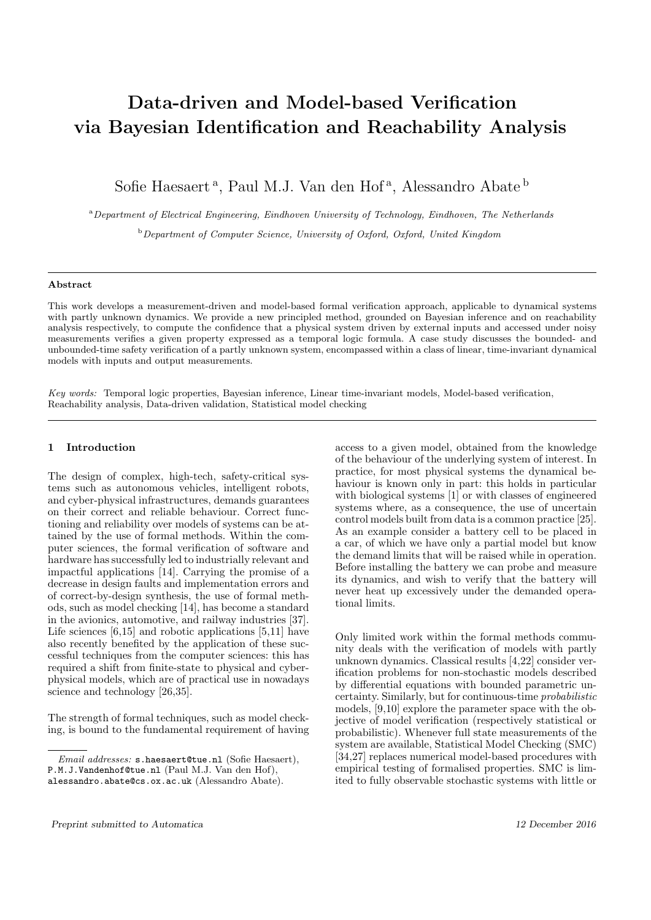# Data-driven and Model-based Verification via Bayesian Identification and Reachability Analysis

Sofie Haesaert<sup>a</sup>, Paul M.J. Van den Hof<sup>a</sup>, Alessandro Abate<sup>b</sup>

<sup>a</sup> Department of Electrical Engineering, Eindhoven University of Technology, Eindhoven, The Netherlands

 $b$  Department of Computer Science, University of Oxford, Oxford, United Kingdom

# Abstract

This work develops a measurement-driven and model-based formal verification approach, applicable to dynamical systems with partly unknown dynamics. We provide a new principled method, grounded on Bayesian inference and on reachability analysis respectively, to compute the confidence that a physical system driven by external inputs and accessed under noisy measurements verifies a given property expressed as a temporal logic formula. A case study discusses the bounded- and unbounded-time safety verification of a partly unknown system, encompassed within a class of linear, time-invariant dynamical models with inputs and output measurements.

Key words: Temporal logic properties, Bayesian inference, Linear time-invariant models, Model-based verification, Reachability analysis, Data-driven validation, Statistical model checking

### Introduction  $\mathbf{1}$

The design of complex, high-tech, safety-critical systems such as autonomous vehicles, intelligent robots, and cyber-physical infrastructures, demands guarantees on their correct and reliable behaviour. Correct functioning and reliability over models of systems can be attained by the use of formal methods. Within the computer sciences, the formal verification of software and hardware has successfully led to industrially relevant and impactful applications [14]. Carrying the promise of a decrease in design faults and implementation errors and of correct-by-design synthesis, the use of formal methods, such as model checking [14], has become a standard in the avionics, automotive, and railway industries [37]. Life sciences  $[6,15]$  and robotic applications  $[5,11]$  have also recently benefited by the application of these successful techniques from the computer sciences: this has required a shift from finite-state to physical and cyberphysical models, which are of practical use in nowadays science and technology  $[26,35]$ .

The strength of formal techniques, such as model checking, is bound to the fundamental requirement of having

access to a given model, obtained from the knowledge of the behaviour of the underlying system of interest. In practice, for most physical systems the dynamical behaviour is known only in part: this holds in particular with biological systems [1] or with classes of engineered systems where, as a consequence, the use of uncertain control models built from data is a common practice [25]. As an example consider a battery cell to be placed in a car, of which we have only a partial model but know the demand limits that will be raised while in operation. Before installing the battery we can probe and measure its dynamics, and wish to verify that the battery will never heat up excessively under the demanded operational limits.

Only limited work within the formal methods community deals with the verification of models with partly unknown dynamics. Classical results [4,22] consider verification problems for non-stochastic models described by differential equations with bounded parametric uncertainty. Similarly, but for continuous-time *probabilistic* models,  $[9,10]$  explore the parameter space with the objective of model verification (respectively statistical or probabilistic). Whenever full state measurements of the system are available, Statistical Model Checking (SMC) [34,27] replaces numerical model-based procedures with empirical testing of formalised properties. SMC is limited to fully observable stochastic systems with little or

Email addresses: s.haesaert@tue.nl (Sofie Haesaert),

P.M.J.Vandenhof@tue.nl (Paul M.J. Van den Hof),

alessandro.abate@cs.ox.ac.uk (Alessandro Abate).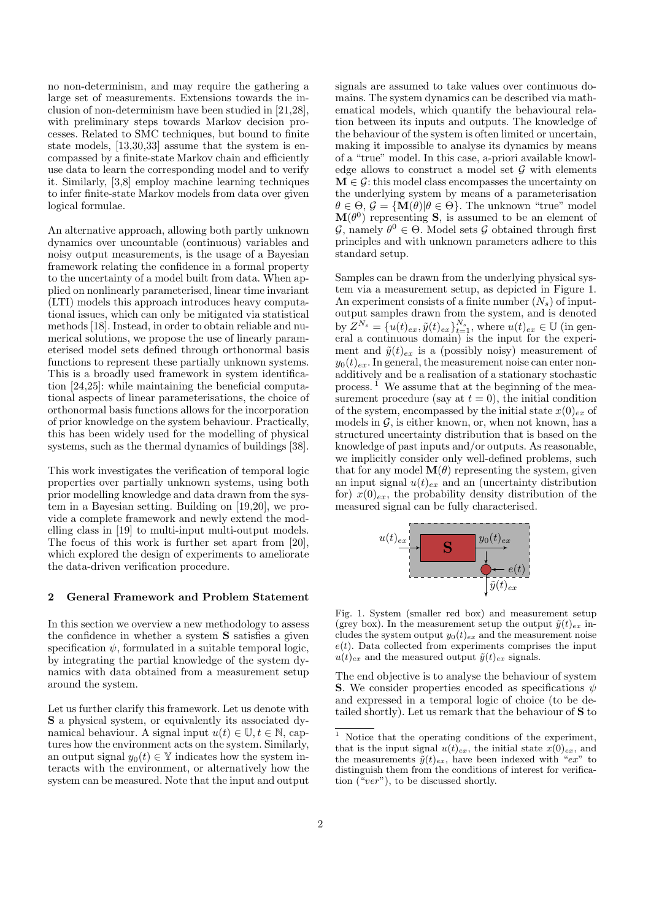no non-determinism, and may require the gathering a large set of measurements. Extensions towards the inclusion of non-determinism have been studied in [21,28], with preliminary steps towards Markov decision processes. Related to SMC techniques, but bound to finite state models,  $[13,30,33]$  assume that the system is encompassed by a finite-state Markov chain and efficiently use data to learn the corresponding model and to verify it. Similarly, [3,8] employ machine learning techniques to infer finite-state Markov models from data over given logical formulae.

An alternative approach, allowing both partly unknown dynamics over uncountable (continuous) variables and noisy output measurements, is the usage of a Bayesian framework relating the confidence in a formal property to the uncertainty of a model built from data. When applied on nonlinearly parameterised, linear time invariant (LTI) models this approach introduces heavy computational issues, which can only be mitigated via statistical methods [18]. Instead, in order to obtain reliable and numerical solutions, we propose the use of linearly parameterised model sets defined through orthonormal basis functions to represent these partially unknown systems. This is a broadly used framework in system identification  $[24,25]$ : while maintaining the beneficial computational aspects of linear parameterisations, the choice of orthonormal basis functions allows for the incorporation of prior knowledge on the system behaviour. Practically, this has been widely used for the modelling of physical systems, such as the thermal dynamics of buildings [38].

This work investigates the verification of temporal logic properties over partially unknown systems, using both prior modelling knowledge and data drawn from the system in a Bayesian setting. Building on [19,20], we provide a complete framework and newly extend the modelling class in [19] to multi-input multi-output models. The focus of this work is further set apart from  $[20]$ , which explored the design of experiments to ameliorate the data-driven verification procedure.

### $\bf{2}$ **General Framework and Problem Statement**

In this section we overview a new methodology to assess the confidence in whether a system **S** satisfies a given specification  $\psi$ , formulated in a suitable temporal logic, by integrating the partial knowledge of the system dynamics with data obtained from a measurement setup around the system.

Let us further clarify this framework. Let us denote with **S** a physical system, or equivalently its associated dynamical behaviour. A signal input  $u(t) \in \mathbb{U}, t \in \mathbb{N}$ , captures how the environment acts on the system. Similarly, an output signal  $y_0(t) \in \mathbb{Y}$  indicates how the system interacts with the environment, or alternatively how the system can be measured. Note that the input and output signals are assumed to take values over continuous domains. The system dynamics can be described via mathematical models, which quantify the behavioural relation between its inputs and outputs. The knowledge of the behaviour of the system is often limited or uncertain, making it impossible to analyse its dynamics by means of a "true" model. In this case, a-priori available knowledge allows to construct a model set  $G$  with elements  $\mathbf{M} \in \mathcal{G}$ : this model class encompasses the uncertainty on the underlying system by means of a parameterisation  $\theta \in \Theta$ ,  $\mathcal{G} = {\bf M}(\theta) | \theta \in \Theta$ . The unknown "true" model  $\mathbf{M}(\theta^0)$  representing **S**, is assumed to be an element of  $\mathcal{G}$ , namely  $\theta^0 \in \Theta$ . Model sets  $\mathcal{G}$  obtained through first principles and with unknown parameters adhere to this standard setup.

Samples can be drawn from the underlying physical system via a measurement setup, as depicted in Figure 1. An experiment consists of a finite number  $(N_s)$  of inputoutput samples drawn from the system, and is denoted<br>by  $Z^{N_s} = \{u(t)_{ex}, \tilde{y}(t)_{ex}\}_{t=1}^{N_s}$ , where  $u(t)_{ex} \in \mathbb{U}$  (in general a continuous domain) is the input for the experiment and  $\tilde{y}(t)_{ex}$  is a (possibly noisy) measurement of  $y_0(t)_{ex}$ . In general, the measurement noise can enter nonadditively and be a realisation of a stationary stochastic process.  $\tilde{I}$  We assume that at the beginning of the measurement procedure (say at  $t = 0$ ), the initial condition of the system, encompassed by the initial state  $x(0)_{ex}$  of models in  $G$ , is either known, or, when not known, has a structured uncertainty distribution that is based on the knowledge of past inputs and/or outputs. As reasonable, we implicitly consider only well-defined problems, such that for any model  $\mathbf{M}(\theta)$  representing the system, given an input signal  $u(t)_{ex}$  and an (uncertainty distribution for)  $x(0)_{ex}$ , the probability density distribution of the measured signal can be fully characterised.



Fig. 1. System (smaller red box) and measurement setup (grey box). In the measurement setup the output  $\tilde{y}(t)_{ex}$  includes the system output  $y_0(t)_{ex}$  and the measurement noise  $e(t)$ . Data collected from experiments comprises the input  $u(t)_{ex}$  and the measured output  $\tilde{y}(t)_{ex}$  signals.

The end objective is to analyse the behaviour of system **S**. We consider properties encoded as specifications  $\psi$ and expressed in a temporal logic of choice (to be detailed shortly). Let us remark that the behaviour of S to

 $^{\rm 1}$  Notice that the operating conditions of the experiment, that is the input signal  $u(t)_{ex}$ , the initial state  $x(0)_{ex}$ , and the measurements  $\tilde{y}(t)_{ex}$ , have been indexed with "ex" to distinguish them from the conditions of interest for verification  $("ver")$ , to be discussed shortly.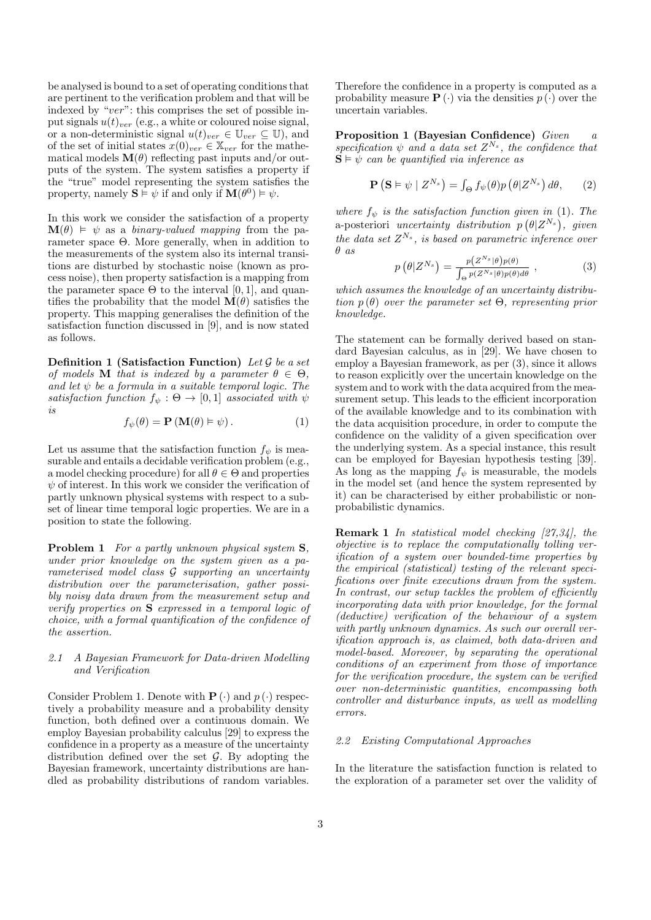be analysed is bound to a set of operating conditions that are pertinent to the verification problem and that will be indexed by " $ver$ ": this comprises the set of possible input signals  $u(t)_{ver}$  (e.g., a white or coloured noise signal, or a non-deterministic signal  $u(t)_{ver} \in \mathbb{U}_{ver} \subseteq \mathbb{U}$ ), and<br>of the set of initial states  $x(0)_{ver} \in \mathbb{X}_{ver}$  for the mathematical models  $\mathbf{M}(\theta)$  reflecting past inputs and/or outputs of the system. The system satisfies a property if the "true" model representing the system satisfies the property, namely  $\mathbf{S} \models \psi$  if and only if  $\mathbf{M}(\theta^0) \models \psi$ .

In this work we consider the satisfaction of a property  $\mathbf{M}(\theta) \models \psi$  as a binary-valued mapping from the parameter space  $\Theta$ . More generally, when in addition to the measurements of the system also its internal transitions are disturbed by stochastic noise (known as process noise), then property satisfaction is a mapping from the parameter space  $\Theta$  to the interval [0, 1], and quantifies the probability that the model  $\mathbf{M}(\theta)$  satisfies the property. This mapping generalises the definition of the satisfaction function discussed in [9], and is now stated as follows.

Definition 1 (Satisfaction Function) Let  $G$  be a set of models **M** that is indexed by a parameter  $\theta \in \Theta$ , and let  $\psi$  be a formula in a suitable temporal logic. The satisfaction function  $f_{\psi}: \Theta \to [0,1]$  associated with  $\psi$  $is$ 

$$
f_{\psi}(\theta) = \mathbf{P}(\mathbf{M}(\theta) \models \psi).
$$
 (1)

Let us assume that the satisfaction function  $f_{\psi}$  is measurable and entails a decidable verification problem (e.g., a model checking procedure) for all  $\theta \in \Theta$  and properties  $\psi$  of interest. In this work we consider the verification of partly unknown physical systems with respect to a subset of linear time temporal logic properties. We are in a position to state the following.

**Problem 1** For a partly unknown physical system S. under prior knowledge on the system given as a parameterised model class G supporting an uncertainty distribution over the parameterisation, gather possibly noisy data drawn from the measurement setup and verify properties on  $S$  expressed in a temporal logic of choice, with a formal quantification of the confidence of the assertion.

### $2.1$ A Bayesian Framework for Data-driven Modelling and Verification

Consider Problem 1. Denote with  $P(\cdot)$  and  $p(\cdot)$  respectively a probability measure and a probability density function, both defined over a continuous domain. We employ Bayesian probability calculus [29] to express the confidence in a property as a measure of the uncertainty distribution defined over the set  $G$ . By adopting the Bayesian framework, uncertainty distributions are handled as probability distributions of random variables.

Therefore the confidence in a property is computed as a probability measure  $\mathbf{P}(\cdot)$  via the densities  $p(\cdot)$  over the uncertain variables.

Proposition 1 (Bayesian Confidence) Given  $\alpha$ specification  $\psi$  and a data set  $Z^{N_s}$ , the confidence that  $\mathbf{S} \models \psi$  can be quantified via inference as

$$
\mathbf{P}\left(\mathbf{S} \vDash \psi \mid Z^{N_s}\right) = \int_{\Theta} f_{\psi}(\theta) p\left(\theta | Z^{N_s}\right) d\theta, \qquad (2)
$$

where  $f_{\psi}$  is the satisfaction function given in (1). The<br>a-posteriori uncertainty distribution  $p(\theta|Z^{N_s})$ , given the data set  $Z^{N_s}$ , is based on parametric inference over  $\theta$  as

$$
p(\theta|Z^{N_s}) = \frac{p(Z^{N_s}|\theta)p(\theta)}{\int_{\Theta} p(Z^{N_s}|\theta)p(\theta)d\theta}, \qquad (3)
$$

which assumes the knowledge of an uncertainty distribution  $p(\theta)$  over the parameter set  $\Theta$ , representing prior knowledge.

The statement can be formally derived based on standard Bayesian calculus, as in [29]. We have chosen to employ a Bayesian framework, as per  $(3)$ , since it allows to reason explicitly over the uncertain knowledge on the system and to work with the data acquired from the measurement setup. This leads to the efficient incorporation of the available knowledge and to its combination with the data acquisition procedure, in order to compute the confidence on the validity of a given specification over the underlying system. As a special instance, this result can be employed for Bayesian hypothesis testing [39]. As long as the mapping  $f_{\psi}$  is measurable, the models in the model set (and hence the system represented by it) can be characterised by either probabilistic or nonprobabilistic dynamics.

**Remark 1** In statistical model checking [27,34], the objective is to replace the computationally tolling ver*ification* of a system over bounded-time properties by the empirical (statistical) testing of the relevant specifications over finite executions drawn from the system. In contrast, our setup tackles the problem of efficiently incorporating data with prior knowledge, for the formal  $(deductive)$  verification of the behaviour of a system with partly unknown dynamics. As such our overall ver*ification approach is, as claimed, both data-driven and* model-based. Moreover, by separating the operational conditions of an experiment from those of importance for the verification procedure, the system can be verified over non-deterministic quantities, encompassing both controller and disturbance inputs, as well as modelling errors.

### $2.2$ *Existing Computational Approaches*

In the literature the satisfaction function is related to the exploration of a parameter set over the validity of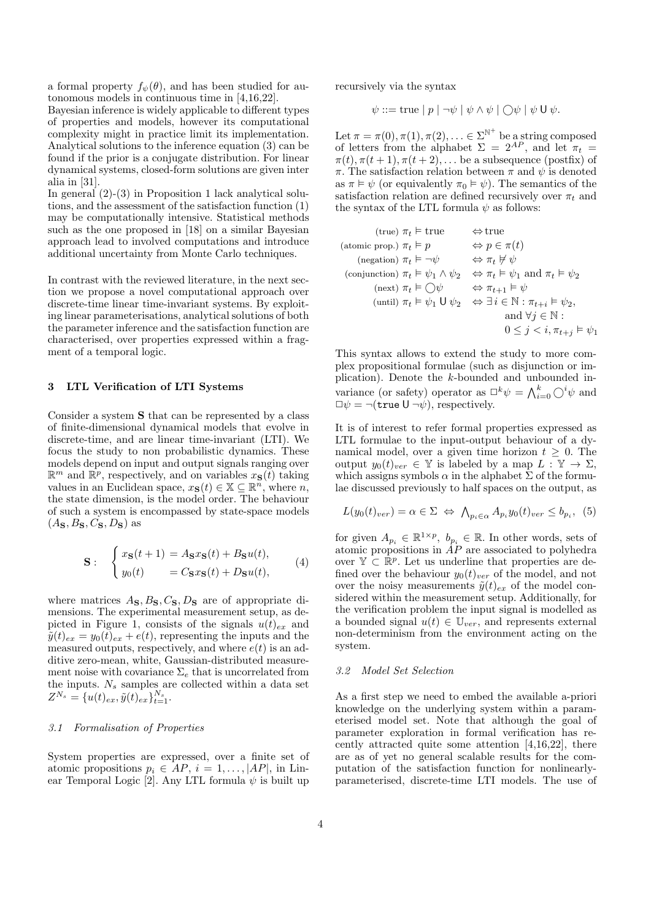a formal property  $f_{\psi}(\theta)$ , and has been studied for autonomous models in continuous time in  $[4,16,22]$ .

Bayesian inference is widely applicable to different types of properties and models, however its computational complexity might in practice limit its implementation. Analytical solutions to the inference equation (3) can be found if the prior is a conjugate distribution. For linear dynamical systems, closed-form solutions are given inter alia in  $[31]$ .

In general  $(2)-(3)$  in Proposition 1 lack analytical solutions, and the assessment of the satisfaction function  $(1)$ may be computationally intensive. Statistical methods such as the one proposed in [18] on a similar Bayesian approach lead to involved computations and introduce additional uncertainty from Monte Carlo techniques.

In contrast with the reviewed literature, in the next section we propose a novel computational approach over discrete-time linear time-invariant systems. By exploiting linear parameterisations, analytical solutions of both the parameter inference and the satisfaction function are characterised, over properties expressed within a fragment of a temporal logic.

### 3 LTL Verification of LTI Systems

Consider a system S that can be represented by a class of finite-dimensional dynamical models that evolve in discrete-time, and are linear time-invariant (LTI). We focus the study to non probabilistic dynamics. These models depend on input and output signals ranging over  $\mathbb{R}^m$  and  $\mathbb{R}^p$ , respectively, and on variables  $x_{\mathbf{S}}(t)$  taking values in an Euclidean space,  $x_{\mathbf{S}}(t) \in \mathbb{X} \subseteq \mathbb{R}^n$ , where n, the state dimension, is the model order. The behaviour of such a system is encompassed by state-space models  $(A_{\mathbf{S}}, B_{\mathbf{S}}, C_{\mathbf{S}}, D_{\mathbf{S}})$  as

$$
\mathbf{S}: \begin{cases} x_{\mathbf{S}}(t+1) = A_{\mathbf{S}}x_{\mathbf{S}}(t) + B_{\mathbf{S}}u(t), \\ y_0(t) = C_{\mathbf{S}}x_{\mathbf{S}}(t) + D_{\mathbf{S}}u(t), \end{cases} (4)
$$

where matrices  $A_{\mathbf{S}}, B_{\mathbf{S}}, C_{\mathbf{S}}, D_{\mathbf{S}}$  are of appropriate dimensions. The experimental measurement setup, as depicted in Figure 1, consists of the signals  $u(t)_{ex}$  and  $\tilde{y}(t)_{ex} = y_0(t)_{ex} + e(t)$ , representing the inputs and the measured outputs, respectively, and where  $e(t)$  is an additive zero-mean, white, Gaussian-distributed measurement noise with covariance  $\Sigma_e$  that is uncorrelated from the inputs.  $N_s$  samples are collected within a data set  $Z^{N_s} = \{u(t)_{ex}, \tilde{y}(t)_{ex}\}_{t=1}^{N_s}.$ 

# 3.1 Formalisation of Properties

System properties are expressed, over a finite set of atomic propositions  $p_i \in AP$ ,  $i = 1, \ldots, |AP|$ , in Linear Temporal Logic [2]. Any LTL formula  $\psi$  is built up recursively via the syntax

$$
\psi ::= \text{true} \mid p \mid \neg \psi \mid \psi \land \psi \mid \bigcirc \psi \mid \psi \cup \psi.
$$

Let  $\pi = \pi(0), \pi(1), \pi(2), \ldots \in \Sigma^{\mathbb{N}^+}$  be a string composed<br>of letters from the alphabet  $\Sigma = 2^{AP}$ , and let  $\pi_t =$  $\pi(t), \pi(t+1), \pi(t+2), \ldots$  be a subsequence (postfix) of  $\pi$ . The satisfaction relation between  $\pi$  and  $\psi$  is denoted as  $\pi \models \psi$  (or equivalently  $\pi_0 \models \psi$ ). The semantics of the satisfaction relation are defined recursively over  $\pi_t$  and the syntax of the LTL formula  $\psi$  as follows:

(true) 
$$
\pi_t \vDash \text{true}
$$

\n(atomic prop.)  $\pi_t \vDash p$ 

\n $\Leftrightarrow p \in \pi(t)$ 

\n(negation)  $\pi_t \vDash \neg \psi$ 

\n $\Leftrightarrow \pi_t \nvDash \psi$ 

\n(conjunction)  $\pi_t \vDash \psi_1 \wedge \psi_2$ 

\n $\Leftrightarrow \pi_t \vDash \psi_1$  and  $\pi_t \vDash \psi_2$ 

\n(next)  $\pi_t \vDash \bigcirc \psi$ 

\n $\Leftrightarrow \pi_{t+1} \vDash \psi$ 

\n(until)  $\pi_t \vDash \psi_1 \cup \psi_2$ 

\n $\Leftrightarrow \exists i \in \mathbb{N} : \pi_{t+i} \vDash \psi_2$ 

\nand  $\forall j \in \mathbb{N}$ 

\n $0 \leq j < i, \pi_{t+j} \vDash \psi_1$ 

This syntax allows to extend the study to more complex propositional formulae (such as disjunction or implication). Denote the  $k$ -bounded and unbounded invariance (or safety) operator as  $\Box^k \psi = \bigwedge_{i=0}^k \bigcirc^i \psi$  and  $\Box \psi = \neg(\text{true } \mathsf{U} \neg \psi)$ , respectively.

It is of interest to refer formal properties expressed as LTL formulae to the input-output behaviour of a dynamical model, over a given time horizon  $t \geq 0$ . The output  $y_0(t)_{ver} \in \mathbb{Y}$  is labeled by a map  $L : \mathbb{Y} \to \Sigma$ , which assigns symbols  $\alpha$  in the alphabet  $\Sigma$  of the formulae discussed previously to half spaces on the output, as

$$
L(y_0(t)_{ver}) = \alpha \in \Sigma \Leftrightarrow \bigwedge_{p_i \in \alpha} A_{p_i} y_0(t)_{ver} \leq b_{p_i}, \tag{5}
$$

for given  $A_{p_i} \in \mathbb{R}^{1 \times p}$ ,  $b_{p_i} \in \mathbb{R}$ . In other words, sets of atomic propositions in  $AP$  are associated to polyhedra over  $\mathbb{Y} \subset \mathbb{R}^p$ . Let us underline that properties are defined over the behaviour  $y_0(t)_{ver}$  of the model, and not over the noisy measurements  $\tilde{y}(t)_{ex}$  of the model considered within the measurement setup. Additionally, for the verification problem the input signal is modelled as a bounded signal  $u(t) \in \mathbb{U}_{ver}$ , and represents external non-determinism from the environment acting on the system.

# 3.2 Model Set Selection

As a first step we need to embed the available a-priori knowledge on the underlying system within a parameterised model set. Note that although the goal of parameter exploration in formal verification has recently attracted quite some attention  $[4,16,22]$ , there are as of yet no general scalable results for the computation of the satisfaction function for nonlinearlyparameterised, discrete-time LTI models. The use of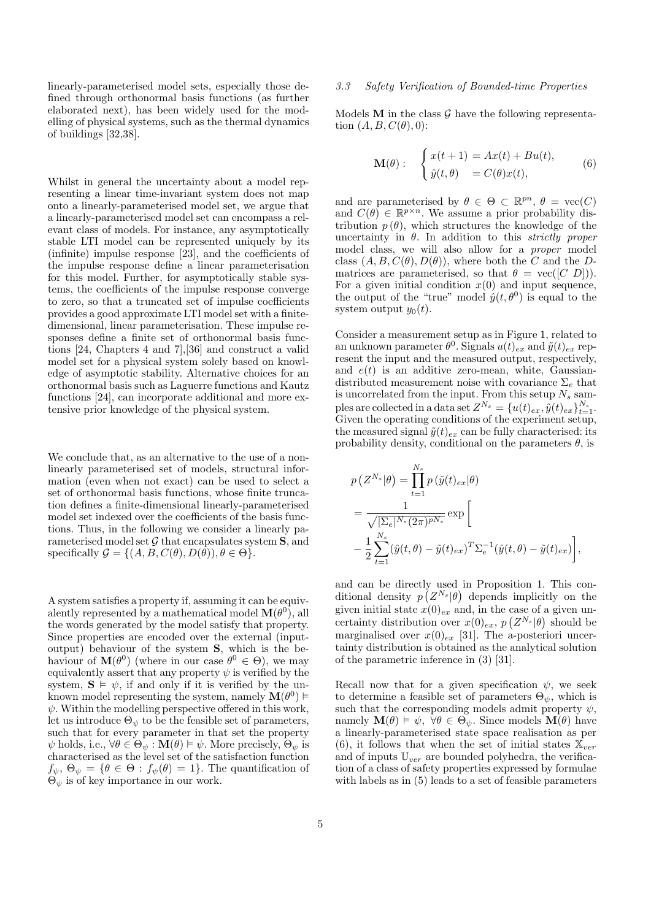linearly-parameterised model sets, especially those defined through orthonormal basis functions (as further elaborated next), has been widely used for the modelling of physical systems, such as the thermal dynamics of buildings  $[32,38]$ .

Whilst in general the uncertainty about a model representing a linear time-invariant system does not map onto a linearly-parameterised model set, we argue that a linearly-parameterised model set can encompass a relevant class of models. For instance, any asymptotically stable LTI model can be represented uniquely by its (infinite) impulse response [23], and the coefficients of the impulse response define a linear parameterisation for this model. Further, for asymptotically stable systems, the coefficients of the impulse response converge to zero, so that a truncated set of impulse coefficients provides a good approximate LTI model set with a finitedimensional, linear parameterisation. These impulse responses define a finite set of orthonormal basis functions  $[24,$  Chapters  $4$  and  $7$ ,  $[36]$  and construct a valid model set for a physical system solely based on knowledge of asymptotic stability. Alternative choices for an orthonormal basis such as Laguerre functions and Kautz functions [24], can incorporate additional and more extensive prior knowledge of the physical system.

We conclude that, as an alternative to the use of a nonlinearly parameterised set of models, structural information (even when not exact) can be used to select a set of orthonormal basis functions, whose finite truncation defines a finite-dimensional linearly-parameterised model set indexed over the coefficients of the basis functions. Thus, in the following we consider a linearly parameterised model set  $G$  that encapsulates system  $S$ , and specifically  $\mathcal{G} = \{(A, B, C(\theta), D(\theta)), \theta \in \Theta\}.$ 

A system satisfies a property if, assuming it can be equivalently represented by a mathematical model  $\mathbf{M}(\theta^0)$ , all the words generated by the model satisfy that property. Since properties are encoded over the external (inputoutput) behaviour of the system S, which is the behaviour of  $\mathbf{M}(\theta^0)$  (where in our case  $\theta^0 \in \Theta$ ), we may equivalently assert that any property  $\psi$  is verified by the system,  $S \vDash \psi$ , if and only if it is verified by the unknown model representing the system, namely  $\mathbf{M}(\theta^0)$   $\models$  $\psi$ . Within the modelling perspective offered in this work, let us introduce  $\Theta_{\psi}$  to be the feasible set of parameters, such that for every parameter in that set the property  $\psi$  holds, i.e.,  $\forall \theta \in \Theta_{\psi} : \mathbf{M}(\theta) \models \psi$ . More precisely,  $\Theta_{\psi}$  is characterised as the level set of the satisfaction function  $f_{\psi}, \Theta_{\psi} = {\theta \in \Theta : f_{\psi}(\theta) = 1}.$  The quantification of  $\Theta_{\psi}$  is of key importance in our work.

### Safety Verification of Bounded-time Properties  $3.3$

Models  $M$  in the class  $G$  have the following representation  $(A, B, C(\theta), 0)$ :

$$
\mathbf{M}(\theta): \begin{cases} x(t+1) = Ax(t) + Bu(t), \\ \hat{y}(t,\theta) = C(\theta)x(t), \end{cases} (6)
$$

and are parameterised by  $\theta \in \Theta \subset \mathbb{R}^{pn}$ ,  $\theta = \text{vec}(C)$ and  $C(\theta) \in \mathbb{R}^{p \times n}$ . We assume a prior probability distribution  $p(\theta)$ , which structures the knowledge of the uncertainty in  $\theta$ . In addition to this *strictly proper* model class, we will also allow for a *proper* model class  $(A, B, C(\theta), D(\theta))$ , where both the C and the Dmatrices are parameterised, so that  $\theta = \text{vec}([C \ D]))$ . For a given initial condition  $x(0)$  and input sequence. the output of the "true" model  $\hat{y}(t, \theta^0)$  is equal to the system output  $y_0(t)$ .

Consider a measurement setup as in Figure 1, related to an unknown parameter  $\theta^0$ . Signals  $u(t)_{ex}$  and  $\tilde{y}(t)_{ex}$  represent the input and the measured output, respectively. and  $e(t)$  is an additive zero-mean, white, Gaussiandistributed measurement noise with covariance  $\Sigma_e$  that is uncorrelated from the input. From this setup  $N_s$  samples are collected in a data set  $Z^{N_s} = \{u(t)_{ex}, \tilde{y}(t)_{ex}\}_{t=1}^{N_s}$ . Given the operating conditions of the experiment setup, the measured signal  $\tilde{y}(t)_{ex}$  can be fully characterised: its probability density, conditional on the parameters  $\theta$ , is

$$
p(Z^{N_s}|\theta) = \prod_{t=1}^{N_s} p(\tilde{y}(t)_{ex}|\theta)
$$
  
= 
$$
\frac{1}{\sqrt{|\Sigma_e|^{N_s}(2\pi)^{pN_s}}}\exp\Bigg[-\frac{1}{2}\sum_{t=1}^{N_s}(\hat{y}(t,\theta) - \tilde{y}(t)_{ex})^T\Sigma_e^{-1}(\hat{y}(t,\theta) - \tilde{y}(t)_{ex})\Bigg],
$$

and can be directly used in Proposition 1. This conditional density  $p(X^N|\theta)$  depends implicitly on the given initial state  $x(0)_{ex}$  and, in the case of a given uncertainty distribution over  $x(0)_{ex}$ ,  $p(Z^{N_s}|\theta)$  should be marginalised over  $x(0)_{ex}$  [31]. The a-posteriori uncertainty distribution is obtained as the analytical solution of the parametric inference in  $(3)$  [31].

Recall now that for a given specification  $\psi$ , we seek to determine a feasible set of parameters  $\Theta_{\psi}$ , which is such that the corresponding models admit property  $\psi$ , namely  $\mathbf{M}(\theta) \models \psi$ ,  $\forall \theta \in \Theta_{\psi}$ . Since models  $\mathbf{M}(\theta)$  have a linearly-parameterised state space realisation as per (6), it follows that when the set of initial states  $\mathbb{X}_{ver}$ and of inputs  $\mathbb{U}_{ver}$  are bounded polyhedra, the verification of a class of safety properties expressed by formulae with labels as in  $(5)$  leads to a set of feasible parameters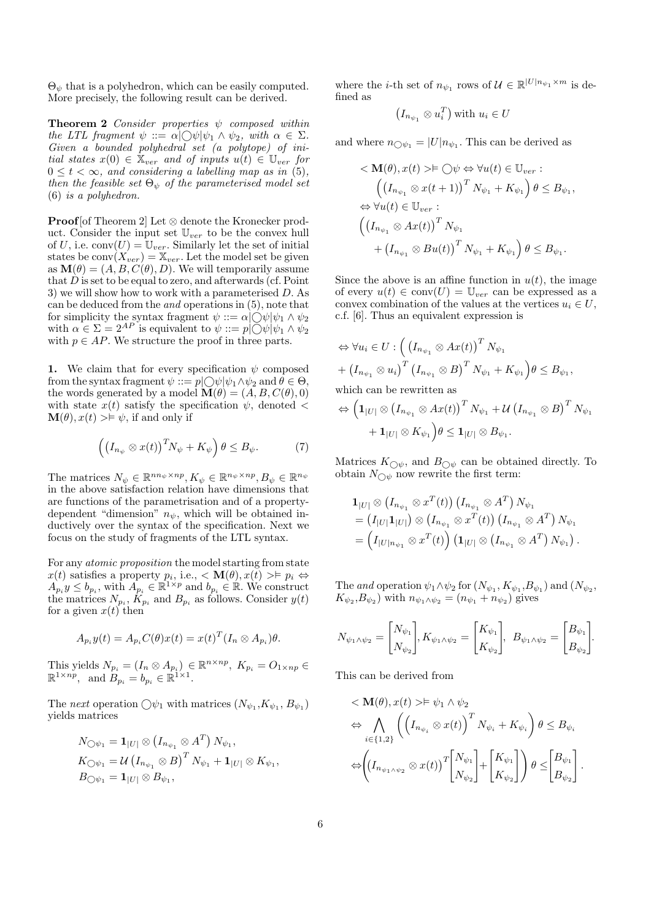$\Theta_{\psi}$  that is a polyhedron, which can be easily computed. More precisely, the following result can be derived.

**Theorem 2** Consider properties  $\psi$  composed within the LTL fragment  $\psi ::= \alpha \bigcirc \bigcirc \psi \bigcirc \psi_1 \land \psi_2$ , with  $\alpha \in \Sigma$ . Given a bounded polyhedral set (a polytope) of initial states  $x(0) \in \mathbb{X}_{ver}$  and of inputs  $u(t) \in \mathbb{U}_{ver}$  for  $0 \leq t < \infty$ , and considering a labelling map as in (5), then the feasible set  $\Theta_{\psi}$  of the parameterised model set  $(6)$  is a polyhedron.

**Proof** [of Theorem 2] Let  $\otimes$  denote the Kronecker product. Consider the input set  $\mathbb{U}_{ver}$  to be the convex hull of U, i.e.  $conv(U) = U_{ver}$ . Similarly let the set of initial states be  $conv(X_{ver}) = \mathbb{X}_{ver}$ . Let the model set be given as  $\mathbf{M}(\theta) = (A, B, C(\theta), D)$ . We will temporarily assume that  $D$  is set to be equal to zero, and afterwards (cf. Point 3) we will show how to work with a parameterised  $D$ . As can be deduced from the *and* operations in  $(5)$ , note that for simplicity the syntax fragment  $\psi ::= \alpha | \bigcirc \psi | \psi_1 \wedge \psi_2$ with  $\alpha \in \Sigma = 2^{AP}$  is equivalent to  $\psi ::= p \bigcup \psi | \psi_1 \wedge \psi_2$ with  $p \in AP$ . We structure the proof in three parts.

1. We claim that for every specification  $\psi$  composed from the syntax fragment  $\psi ::= p \bigcirc \bigcirc \psi | \psi_1 \wedge \psi_2$  and  $\theta \in \Theta$ , the words generated by a model  $\mathbf{M}(\theta) = (A, B, C(\theta), 0)$ with state  $x(t)$  satisfy the specification  $\psi$ , denoted  $\langle$  $\mathbf{M}(\theta), x(t) > \models \psi$ , if and only if

$$
\left(\left(I_{n_{\psi}}\otimes x(t)\right)^{T}N_{\psi}+K_{\psi}\right)\theta\leq B_{\psi}.\tag{7}
$$

The matrices  $N_{\psi} \in \mathbb{R}^{nn_{\psi} \times np}, K_{\psi} \in \mathbb{R}^{n_{\psi} \times np}, B_{\psi} \in \mathbb{R}^{n_{\psi}}$ in the above satisfaction relation have dimensions that are functions of the parametrisation and of a propertydependent "dimension"  $n_{\psi}$ , which will be obtained inductively over the syntax of the specification. Next we focus on the study of fragments of the LTL syntax.

For any *atomic proposition* the model starting from state  $x(t)$  satisfies a property  $p_i$ , i.e.,  $\lt M(\theta), x(t) \gt\models p_i \Leftrightarrow$ <br>  $A_{p_i} y \le b_{p_i}$ , with  $A_{p_i} \in \mathbb{R}^{1 \times p}$  and  $b_{p_i} \in \mathbb{R}$ . We construct<br>
the matrices  $N_{p_i}$ ,  $K_{p_i}$  and  $B_{p_i}$  as follows. Consider  $y(t)$ for a given  $x(t)$  then

$$
A_{p_i}y(t) = A_{p_i}C(\theta)x(t) = x(t)^T(I_n \otimes A_{p_i})\theta.
$$

This yields  $N_{p_i} = (I_n \otimes A_{p_i}) \in \mathbb{R}^{n \times np}$ ,  $K_{p_i} = O_{1 \times np} \in \mathbb{R}^{1 \times np}$ , and  $B_{p_i} = b_{p_i} \in \mathbb{R}^{1 \times 1}$ .

The next operation  $\bigcirc \psi_1$  with matrices  $(N_{\psi_1}, K_{\psi_1}, B_{\psi_1})$ yields matrices

$$
\begin{aligned} N_{\bigcirc \psi_1} &= \mathbf{1}_{|U|} \otimes \left( I_{n_{\psi_1}} \otimes A^T \right) N_{\psi_1}, \\ K_{\bigcirc \psi_1} &= \mathcal{U} \left( I_{n_{\psi_1}} \otimes B \right)^T N_{\psi_1} + \mathbf{1}_{|U|} \otimes K_{\psi_1}, \\ B_{\bigcirc \psi_1} &= \mathbf{1}_{|U|} \otimes B_{\psi_1}, \end{aligned}
$$

where the *i*-th set of  $n_{\psi_1}$  rows of  $\mathcal{U} \in \mathbb{R}^{|U|n_{\psi_1} \times m}$  is defined as

$$
(I_{n_{\psi_1}} \otimes u_i^T)
$$
 with  $u_i \in U$ 

and where  $n_{\bigcirc \psi_1} = |U| n_{\psi_1}$ . This can be derived as

$$
\langle \mathbf{M}(\theta), x(t) \rangle \models \bigcirc \psi \Leftrightarrow \forall u(t) \in \mathbb{U}_{ver} : \n\left( \left( I_{n_{\psi_1}} \otimes x(t+1) \right)^T N_{\psi_1} + K_{\psi_1} \right) \theta \leq B_{\psi_1}, \n\Leftrightarrow \forall u(t) \in \mathbb{U}_{ver} : \n\left( \left( I_{n_{\psi_1}} \otimes Ax(t) \right)^T N_{\psi_1} \n+ \left( I_{n_{\psi_1}} \otimes Bu(t) \right)^T N_{\psi_1} + K_{\psi_1} \right) \theta \leq B_{\psi_1}.
$$

Since the above is an affine function in  $u(t)$ , the image of every  $u(t) \in \text{conv}(U) = \mathbb{U}_{ver}$  can be expressed as a convex combination of the values at the vertices  $u_i \in U$ , c.f. [6]. Thus an equivalent expression is

$$
\Leftrightarrow \forall u_i \in U : \left( \left( I_{n_{\psi_1}} \otimes Ax(t) \right)^T N_{\psi_1} + \left( I_{n_{\psi_1}} \otimes u_i \right)^T \left( I_{n_{\psi_1}} \otimes B \right)^T N_{\psi_1} + K_{\psi_1} \right) \theta \le B_{\psi_1},
$$
\nwhich can be rewritten as

which can be rewritten as

$$
\begin{aligned} \Leftrightarrow \Big( \mathbf{1}_{|U|} \otimes \big( I_{n_{\psi_1}} \otimes Ax(t) \big)^T \, N_{\psi_1} + \mathcal{U} \, \big( I_{n_{\psi_1}} \otimes B \big)^T \, N_{\psi_1} \\ + \, \mathbf{1}_{|U|} \otimes K_{\psi_1} \Big) \theta \leq \mathbf{1}_{|U|} \otimes B_{\psi_1}. \end{aligned}
$$

Matrices  $K_{\bigcirc \psi}$ , and  $B_{\bigcirc \psi}$  can be obtained directly. To obtain  $N_{\bigcirc \psi}$  now rewrite the first term:

$$
\begin{split} \mathbf{1}_{|U|} &\otimes (I_{n_{\psi_1}} \otimes x^T(t)) (I_{n_{\psi_1}} \otimes A^T) N_{\psi_1} \\ &= (I_{|U|} \mathbf{1}_{|U|}) \otimes (I_{n_{\psi_1}} \otimes x^T(t)) (I_{n_{\psi_1}} \otimes A^T) N_{\psi_1} \\ &= \left(I_{|U|n_{\psi_1}} \otimes x^T(t)\right) \left(\mathbf{1}_{|U|} \otimes (I_{n_{\psi_1}} \otimes A^T) N_{\psi_1}\right). \end{split}
$$

The and operation  $\psi_1 \wedge \psi_2$  for  $(N_{\psi_1}, K_{\psi_1}, B_{\psi_1})$  and  $(N_{\psi_2},$  $K_{\psi_2}, B_{\psi_2}$  with  $n_{\psi_1 \wedge \psi_2} = (n_{\psi_1} + n_{\psi_2})$  gives

$$
N_{\psi_1 \wedge \psi_2} = \begin{bmatrix} N_{\psi_1} \\ N_{\psi_2} \end{bmatrix}, K_{\psi_1 \wedge \psi_2} = \begin{bmatrix} K_{\psi_1} \\ K_{\psi_2} \end{bmatrix}, B_{\psi_1 \wedge \psi_2} = \begin{bmatrix} B_{\psi_1} \\ B_{\psi_2} \end{bmatrix}.
$$

This can be derived from

$$
\langle \mathbf{M}(\theta), x(t) \rangle \models \psi_1 \land \psi_2
$$
  
\n
$$
\Leftrightarrow \bigwedge_{i \in \{1,2\}} \left( \left( I_{n_{\psi_i}} \otimes x(t) \right)^T N_{\psi_i} + K_{\psi_i} \right) \theta \le B_{\psi_i}
$$
  
\n
$$
\Leftrightarrow \left( \left( I_{n_{\psi_1 \land \psi_2}} \otimes x(t) \right)^T \begin{bmatrix} N_{\psi_1} \\ N_{\psi_2} \end{bmatrix} + \begin{bmatrix} K_{\psi_1} \\ K_{\psi_2} \end{bmatrix} \right) \theta \le \begin{bmatrix} B_{\psi_1} \\ B_{\psi_2} \end{bmatrix}.
$$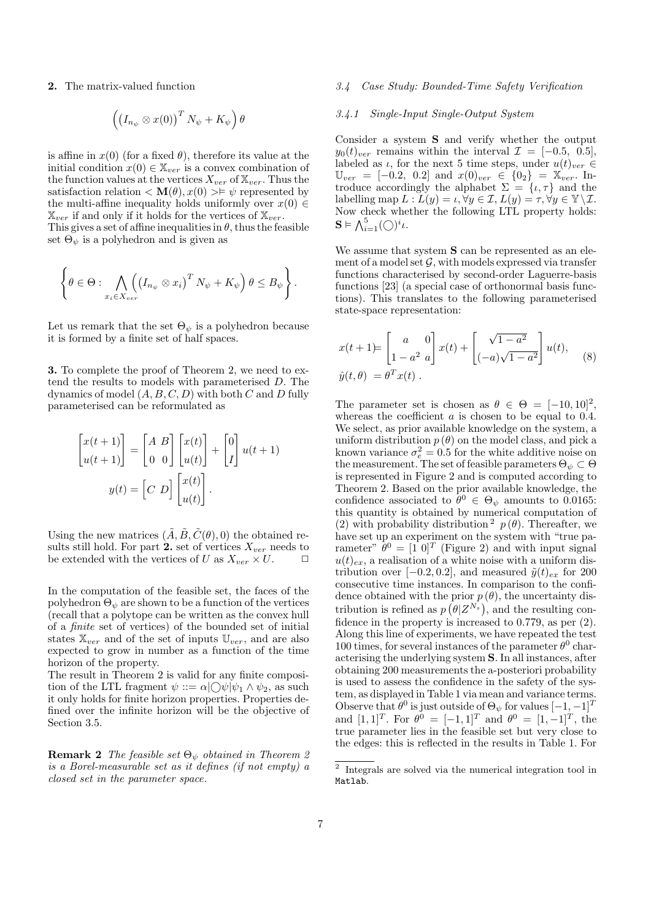2. The matrix-valued function

$$
\left(\left(I_{n_{\psi}}\otimes x(0)\right)^{T}N_{\psi}+K_{\psi}\right)\theta
$$

is affine in  $x(0)$  (for a fixed  $\theta$ ), therefore its value at the initial condition  $x(0) \in \mathbb{X}_{ver}$  is a convex combination of the function values at the vertices  $X_{ver}$  of  $\mathbb{X}_{ver}$ . Thus the satisfaction relation  $\langle \mathbf{M}(\theta), x(0) \rangle \neq \psi$  represented by the multi-affine inequality holds uniformly over  $x(0) \in$  $\mathbb{X}_{ver}$  if and only if it holds for the vertices of  $\mathbb{X}_{ver}$ .

This gives a set of affine inequalities in  $\theta$ , thus the feasible set  $\Theta_{\psi}$  is a polyhedron and is given as

$$
\left\{\theta\in\Theta:\bigwedge_{x_i\in X_{ver}}\!\!\left(\left(I_{n_{\psi}}\otimes x_i\right)^T N_{\psi}+K_{\psi}\right)\theta\leq B_{\psi}\right\}.
$$

Let us remark that the set  $\Theta_{\psi}$  is a polyhedron because it is formed by a finite set of half spaces.

3. To complete the proof of Theorem 2, we need to extend the results to models with parameterised  $D$ . The dynamics of model  $(A, B, C, D)$  with both  $C$  and  $D$  fully parameterised can be reformulated as

$$
\begin{bmatrix} x(t+1) \\ u(t+1) \end{bmatrix} = \begin{bmatrix} A & B \\ 0 & 0 \end{bmatrix} \begin{bmatrix} x(t) \\ u(t) \end{bmatrix} + \begin{bmatrix} 0 \\ I \end{bmatrix} u(t+1)
$$

$$
y(t) = \begin{bmatrix} C & D \end{bmatrix} \begin{bmatrix} x(t) \\ u(t) \end{bmatrix}.
$$

Using the new matrices  $(\tilde{A}, \tilde{B}, \tilde{C}(\theta), 0)$  the obtained results still hold. For part 2. set of vertices  $X_{ver}$  needs to be extended with the vertices of U as  $X_{ver} \times U$ .  $\Box$ 

In the computation of the feasible set, the faces of the polyhedron  $\Theta_{\psi}$  are shown to be a function of the vertices (recall that a polytope can be written as the convex hull of a *finite* set of vertices) of the bounded set of initial states  $\mathbb{X}_{ver}$  and of the set of inputs  $\mathbb{U}_{ver}$ , and are also expected to grow in number as a function of the time horizon of the property.

The result in Theorem 2 is valid for any finite composition of the LTL fragment  $\psi ::= \alpha \cup \psi \psi_1 \wedge \psi_2$ , as such it only holds for finite horizon properties. Properties defined over the infinite horizon will be the objective of Section 3.5.

**Remark 2** The feasible set  $\Theta_{\psi}$  obtained in Theorem 2 is a Borel-measurable set as it defines (if not empty) a closed set in the parameter space.

### Case Study: Bounded-Time Safety Verification  $3.4$

# 3.4.1 Single-Input Single-Output System

Consider a system  $S$  and verify whether the output  $y_0(t)_{ver}$  remains within the interval  $\mathcal{I} = [-0.5, 0.5],$ labeled as  $\iota$ , for the next 5 time steps, under  $u(t)_{ver} \in$  $\mathbb{U}_{ver} = [-0.2, 0.2]$  and  $x(0)_{ver} \in \{0_2\} = \mathbb{X}_{ver}$ . Introduce accordingly the alphabet  $\Sigma = \{\iota, \tau\}$  and the labelling map  $L: L(y) = \iota, \forall y \in \mathcal{I}, L(y) = \tau, \forall y \in \mathbb{Y} \setminus \mathcal{I}.$ Now check whether the following LTL property holds:  $\mathbf{S} \models \bigwedge_{i=1}^{5} (\bigcirc)^{i} \iota.$ 

We assume that system  $S$  can be represented as an element of a model set  $\mathcal G$ , with models expressed via transfer functions characterised by second-order Laguerre-basis functions [23] (a special case of orthonormal basis functions). This translates to the following parameterised state-space representation:

$$
x(t+1) = \begin{bmatrix} a & 0 \ 1 - a^2 & a \end{bmatrix} x(t) + \begin{bmatrix} \sqrt{1 - a^2} \\ (-a)\sqrt{1 - a^2} \end{bmatrix} u(t),
$$
  

$$
\hat{y}(t, \theta) = \theta^T x(t).
$$
 (8)

The parameter set is chosen as  $\theta \in \Theta = [-10, 10]^2$ . whereas the coefficient  $a$  is chosen to be equal to 0.4. We select, as prior available knowledge on the system, a uniform distribution  $p(\theta)$  on the model class, and pick a known variance  $\sigma_e^2 = 0.5$  for the white additive noise on<br>the measurement. The set of feasible parameters  $\Theta_\psi \subset \Theta$ is represented in Figure 2 and is computed according to Theorem 2. Based on the prior available knowledge, the confidence associated to  $\theta^0 \in \Theta_{\psi}$  amounts to 0.0165: this quantity is obtained by numerical computation of (2) with probability distribution  $^{2}$   $p(\theta)$ . Thereafter, we have set up an experiment on the system with "true parameter"  $\bar{\theta}^0 = [1\ 0]^T$  (Figure 2) and with input signal  $u(t)_{ex}$ , a realisation of a white noise with a uniform distribution over [-0.2, 0.2], and measured  $\tilde{y}(t)_{ex}$  for 200 consecutive time instances. In comparison to the confidence obtained with the prior  $p(\theta)$ , the uncertainty distribution is refined as  $p(\theta|Z^{N_s})$ , and the resulting confidence in the property is increased to  $0.779$ , as per  $(2)$ . Along this line of experiments, we have repeated the test 100 times, for several instances of the parameter  $\theta^0$  characterising the underlying system **S**. In all instances, after obtaining 200 measurements the a-posteriori probability is used to assess the confidence in the safety of the system, as displayed in Table 1 via mean and variance terms. Observe that  $\theta^0$  is just outside of  $\Theta_{\psi}$  for values  $[-1, -1]^T$ and  $[1,1]^T$ . For  $\theta^0 = [-1,1]^T$  and  $\theta^0 = [1,-1]^T$ , the true parameter lies in the feasible set but very close to the edges: this is reflected in the results in Table 1. For

 $^{\rm 2}$  Integrals are solved via the numerical integration tool in Matlab.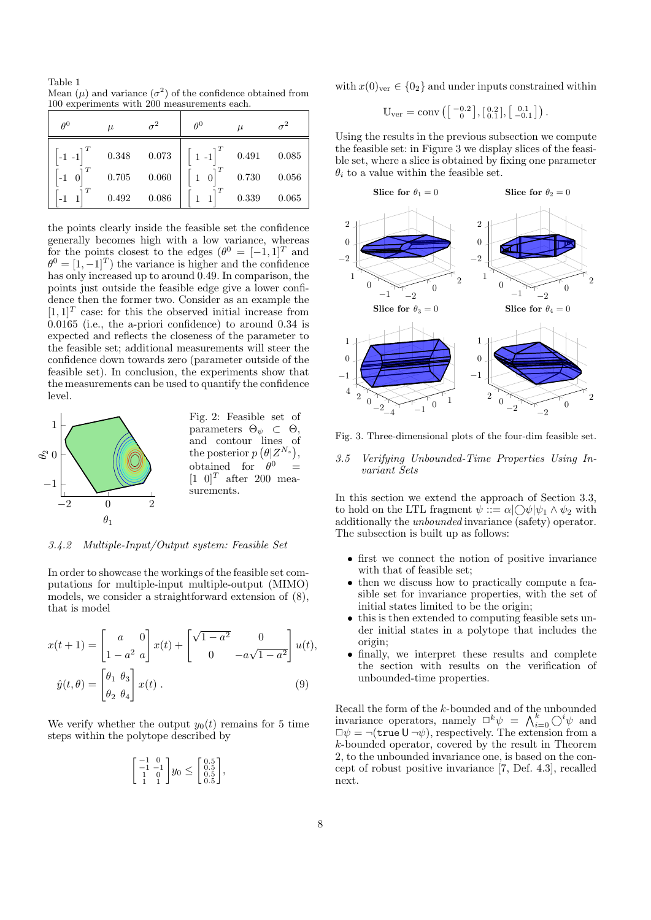Table 1 Mean  $(\mu)$  and variance  $(\sigma^2)$  of the confidence obtained from 100 experiments with 200 measurements each.

| $\theta^0$        | $\mu$                           |                               | $\theta^0$   | $\mu$                   |                         |
|-------------------|---------------------------------|-------------------------------|--------------|-------------------------|-------------------------|
| -<br>1 -1<br>$-1$ | $0.348\,$<br>$0.705\,$<br>0.492 | $\,0.073\,$<br>0.060<br>0.086 | $1 - 1$<br>1 | 0.491<br>0.730<br>0.339 | 0.085<br>0.056<br>0.065 |

the points clearly inside the feasible set the confidence generally becomes high with a low variance, whereas for the points closest to the edges  $(\theta^0 = [-1,1]^T$  and  $\theta^0 = [1, -1]^T$  the variance is higher and the confidence has only increased up to around 0.49. In comparison, the points just outside the feasible edge give a lower confidence then the former two. Consider as an example the  $[1,1]$ <sup>T</sup> case: for this the observed initial increase from  $0.0165$  (i.e., the a-priori confidence) to around 0.34 is expected and reflects the closeness of the parameter to the feasible set; additional measurements will steer the confidence down towards zero (parameter outside of the feasible set). In conclusion, the experiments show that the measurements can be used to quantify the confidence level.



 $3.4.2$ Multiple-Input/Output system: Feasible Set

In order to showcase the workings of the feasible set computations for multiple-input multiple-output (MIMO) models, we consider a straightforward extension of  $(8)$ , that is model

$$
x(t+1) = \begin{bmatrix} a & 0 \\ 1 - a^2 & a \end{bmatrix} x(t) + \begin{bmatrix} \sqrt{1 - a^2} & 0 \\ 0 & -a\sqrt{1 - a^2} \end{bmatrix} u(t)
$$

$$
\hat{y}(t, \theta) = \begin{bmatrix} \theta_1 & \theta_3 \\ \theta_2 & \theta_4 \end{bmatrix} x(t) .
$$
(9)

We verify whether the output  $y_0(t)$  remains for 5 time steps within the polytope described by

$$
\begin{bmatrix} -1 & 0 \\ -1 & -1 \\ 1 & 0 \\ 1 & 1 \end{bmatrix} y_0 \le \begin{bmatrix} 0.5 \\ 0.5 \\ 0.5 \\ 0.5 \end{bmatrix},
$$

with  $x(0)_{\text{ver}} \in \{0_2\}$  and under inputs constrained within

$$
\mathbb{U}_{\rm ver} = \text{conv}\left(\begin{bmatrix} -0.2\\ 0 \end{bmatrix}, \begin{bmatrix} 0.2\\ 0.1 \end{bmatrix}, \begin{bmatrix} 0.1\\ -0.1 \end{bmatrix}\right).
$$

Using the results in the previous subsection we compute the feasible set: in Figure 3 we display slices of the feasible set, where a slice is obtained by fixing one parameter  $\theta_i$  to a value within the feasible set.



Fig. 3. Three-dimensional plots of the four-dim feasible set.

### Verifying Unbounded-Time Properties Using In- $3.5$ variant Sets

In this section we extend the approach of Section 3.3, to hold on the LTL fragment  $\psi ::= \alpha \cup \psi | \psi_1 \wedge \psi_2$  with additionally the *unbounded* invariance (safety) operator. The subsection is built up as follows:

- $\bullet$  first we connect the notion of positive invariance with that of feasible set:
- then we discuss how to practically compute a feasible set for invariance properties, with the set of initial states limited to be the origin;
- this is then extended to computing feasible sets under initial states in a polytope that includes the origin:
- finally, we interpret these results and complete the section with results on the verification of unbounded-time properties.

Recall the form of the *k*-bounded and of the unbounded<br>invariance operators, namely  $\Box^k \psi = \bigwedge_{i=0}^k \bigcirc^i \psi$  and  $\Box \psi = \neg(\text{true } U \neg \psi)$ , respectively. The extension from a k-bounded operator, covered by the result in Theorem 2, to the unbounded invariance one, is based on the concept of robust positive invariance [7, Def. 4.3], recalled next.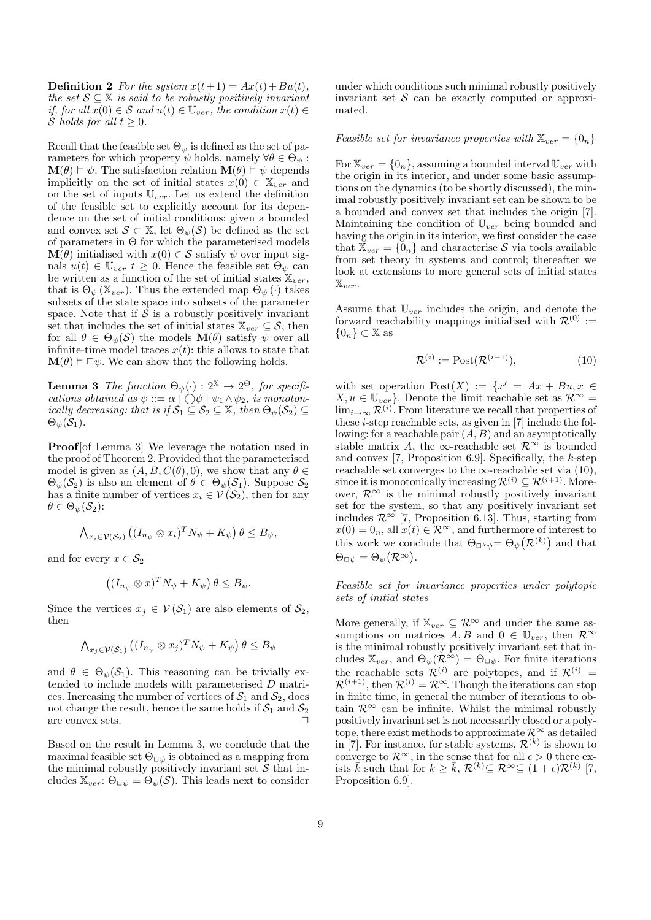**Definition 2** For the system  $x(t+1) = Ax(t) + Bu(t)$ . the set  $S \subseteq \mathbb{X}$  is said to be robustly positively invariant if, for all  $x(0) \in S$  and  $u(t) \in \mathbb{U}_{ver}$ , the condition  $x(t) \in$ S holds for all  $t \geq 0$ .

Recall that the feasible set  $\Theta_{\psi}$  is defined as the set of parameters for which property  $\psi$  holds, namely  $\forall \theta \in \Theta_{\psi}$ :  $\mathbf{M}(\theta) \models \psi$ . The satisfaction relation  $\mathbf{M}(\theta) \models \psi$  depends implicitly on the set of initial states  $x(0) \in \mathbb{X}_{ver}$  and on the set of inputs  $\mathbb{U}_{ver}$ . Let us extend the definition of the feasible set to explicitly account for its dependence on the set of initial conditions: given a bounded and convex set  $\mathcal{S} \subset \mathbb{X}$ , let  $\Theta_{\psi}(\mathcal{S})$  be defined as the set of parameters in  $\Theta$  for which the parameterised models  $\mathbf{M}(\theta)$  initialised with  $x(0) \in \mathcal{S}$  satisfy  $\psi$  over input signals  $u(t) \in \mathbb{U}_{ver}$   $t \geq 0$ . Hence the feasible set  $\Theta_{\psi}$  can be written as a function of the set of initial states  $\mathbb{X}_{ver}$ , that is  $\Theta_{\psi}(\mathbb{X}_{ver})$ . Thus the extended map  $\Theta_{\psi}(\cdot)$  takes subsets of the state space into subsets of the parameter space. Note that if  $S$  is a robustly positively invariant set that includes the set of initial states  $\mathbb{X}_{ver} \subseteq \mathcal{S}$ , then for all  $\theta \in \Theta_{\psi}(\mathcal{S})$  the models  $\mathbf{M}(\theta)$  satisfy  $\psi$  over all infinite-time model traces  $x(t)$ : this allows to state that  $\mathbf{M}(\theta) \models \Box \psi$ . We can show that the following holds.

**Lemma 3** The function  $\Theta_{\psi}(\cdot) : 2^{\mathbb{X}} \to 2^{\Theta}$ , for specifications obtained as  $\psi ::= \alpha \mid \bigcirc \psi \mid \psi_1 \wedge \psi_2$ , is monoton-<br>ically decreasing: that is if  $S_1 \subseteq S_2 \subseteq \mathbb{X}$ , then  $\Theta_{\psi}(S_2) \subseteq$  $\Theta_{\psi}(S_1)$ .

**Proof** [of Lemma 3] We leverage the notation used in the proof of Theorem 2. Provided that the parameterised model is given as  $(A, B, C(\theta), 0)$ , we show that any  $\theta \in$  $\Theta_{\psi}(S_2)$  is also an element of  $\theta \in \Theta_{\psi}(S_1)$ . Suppose  $S_2$ has a finite number of vertices  $x_i \in V(S_2)$ , then for any  $\theta \in \Theta_{\psi}(\mathcal{S}_2)$ :

$$
\bigwedge_{x_i \in \mathcal{V}(\mathcal{S}_2)} \left( (I_{n_{\psi}} \otimes x_i)^T N_{\psi} + K_{\psi} \right) \theta \leq B_{\psi},
$$

and for every  $x \in \mathcal{S}_2$ 

$$
((I_{n_{\psi}} \otimes x)^{T} N_{\psi} + K_{\psi}) \theta \leq B_{\psi}.
$$

Since the vertices  $x_i \in V(S_1)$  are also elements of  $S_2$ , then

$$
\bigwedge_{x_j \in \mathcal{V}(\mathcal{S}_1)} \left( (I_{n_{\psi}} \otimes x_j)^T N_{\psi} + K_{\psi} \right) \theta \leq B_{\psi}
$$

and  $\theta \in \Theta_{\psi}(\mathcal{S}_1)$ . This reasoning can be trivially extended to include models with parameterised  $D$  matrices. Increasing the number of vertices of  $S_1$  and  $S_2$ , does not change the result, hence the same holds if  $S_1$  and  $S_2$ are convex sets.

Based on the result in Lemma 3, we conclude that the maximal feasible set  $\Theta_{\Box \psi}$  is obtained as a mapping from the minimal robustly positively invariant set  $S$  that includes  $\mathbb{X}_{ver}$ :  $\Theta_{\Box \psi} = \Theta_{\psi}(\mathcal{S})$ . This leads next to consider under which conditions such minimal robustly positively invariant set  $S$  can be exactly computed or approximated.

*Feasible set for invariance properties with*  $\mathbb{X}_{ver} = \{0_n\}$ 

For  $\mathbb{X}_{ver} = \{0_n\}$ , assuming a bounded interval  $\mathbb{U}_{ver}$  with the origin in its interior, and under some basic assumptions on the dynamics (to be shortly discussed), the minimal robustly positively invariant set can be shown to be a bounded and convex set that includes the origin [7]. Maintaining the condition of  $\mathbb{U}_{ner}$  being bounded and having the origin in its interior, we first consider the case that  $\mathbb{X}_{ver} = \{0_n\}$  and characterise S via tools available from set theory in systems and control; thereafter we look at extensions to more general sets of initial states  $\mathbb{X}_{ver}.$ 

Assume that  $\mathbb{U}_{ver}$  includes the origin, and denote the forward reachability mappings initialised with  $\mathcal{R}^{(0)}$  :=  $\{0_n\} \subset \mathbb{X}$  as

$$
\mathcal{R}^{(i)} := \text{Post}(\mathcal{R}^{(i-1)}),\tag{10}
$$

with set operation  $Post(X) := \{x' = Ax + Bu, x \in$  $X, u \in \mathbb{U}_{ver}$ . Denote the limit reachable set as  $\mathcal{R}^{\infty} =$ <br> $\lim_{i \to \infty} \mathcal{R}^{(i)}$ . From literature we recall that properties of these  $i$ -step reachable sets, as given in [7] include the following: for a reachable pair  $(A, B)$  and an asymptotically stable matrix A, the  $\infty$ -reachable set  $\mathcal{R}^{\infty}$  is bounded and convex [7, Proposition 6.9]. Specifically, the  $k$ -step reachable set converges to the  $\infty$ -reachable set via (10), since it is monotonically increasing  $\mathcal{R}^{(i)} \subseteq \mathcal{R}^{(i+1)}$ . Moreover,  $\mathcal{R}^{\infty}$  is the minimal robustly positively invariant set for the system, so that any positively invariant set includes  $\mathcal{R}^{\infty}$  [7, Proposition 6.13]. Thus, starting from  $x(0) = 0_n$ , all  $x(t) \in \mathcal{R}^{\infty}$ , and furthermore of interest to this work we conclude that  $\Theta_{\Box^k \psi} = \Theta_{\psi}(\mathcal{R}^{(k)})$  and that  $\Theta_{\Box\psi} = \Theta_{\psi}(\mathcal{R}^{\infty}).$ 

Feasible set for invariance properties under polytopic sets of initial states

More generally, if  $\mathbb{X}_{ver} \subseteq \mathcal{R}^{\infty}$  and under the same assumptions on matrices A, B and  $0 \in \mathbb{U}_{ver}$ , then  $\mathcal{R}^{\infty}$ is the minimal robustly positively invariant set that includes  $\mathbb{X}_{ver}$ , and  $\Theta_{\psi}(\mathcal{R}^{\infty}) = \Theta_{\Box \psi}$ . For finite iterations the reachable sets  $\mathcal{R}^{(i)}$  are polytopes, and if  $\mathcal{R}^{(i)}$  =  $\mathcal{R}^{(i+1)}$ , then  $\mathcal{R}^{(i)} = \mathcal{R}^{\infty}$ . Though the iterations can stop in finite time, in general the number of iterations to obtain  $\mathcal{R}^{\infty}$  can be infinite. Whilst the minimal robustly positively invariant set is not necessarily closed or a polytope, there exist methods to approximate  $\mathcal{R}^{\infty}$  as detailed in [7]. For instance, for stable systems,  $\mathcal{R}^{(k)}$  is shown to converge to  $\mathcal{R}^{\infty}$ , in the sense that for all  $\epsilon > 0$  there exists  $\overline{k}$  such that for  $k \geq \overline{k}$ ,  $\mathcal{R}^{(k)} \subseteq \mathcal{R}^{\infty} \subseteq (1+\epsilon)\mathcal{R}^{(k)}$  [7, Proposition 6.9.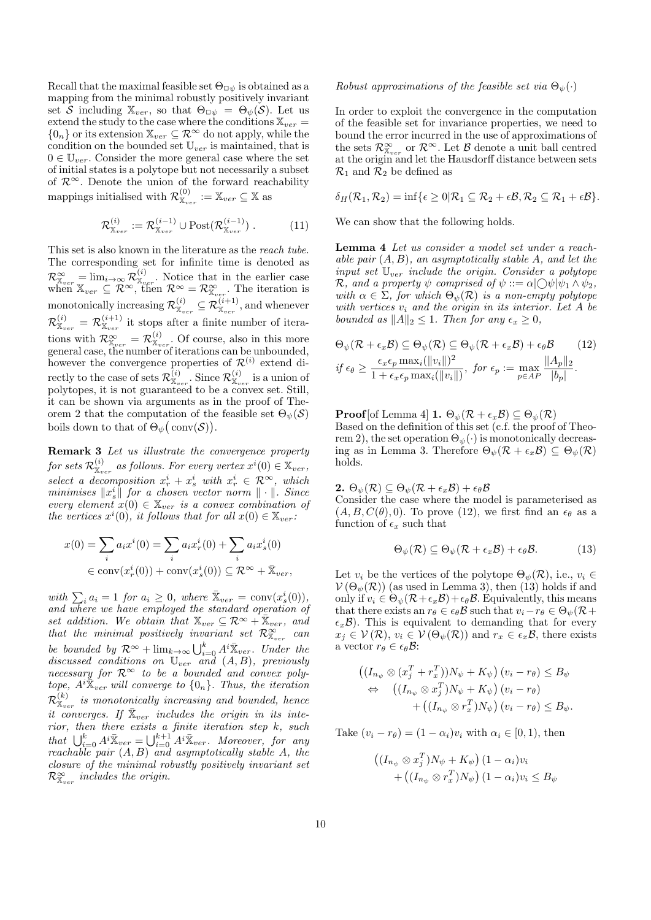Recall that the maximal feasible set  $\Theta_{\Box \psi}$  is obtained as a mapping from the minimal robustly positively invariant set S including  $\mathbb{X}_{ver}$ , so that  $\Theta_{\Box \psi} = \Theta_{\psi}(\mathcal{S})$ . Let us extend the study to the case where the conditions  $\mathbb{X}_{ver}$  $\{0_n\}$  or its extension  $\mathbb{X}_{ver} \subseteq \mathcal{R}^{\infty}$  do not apply, while the condition on the bounded set  $\mathbb{U}_{ver}$  is maintained, that is  $0 \in \mathbb{U}_{ver}$ . Consider the more general case where the set of initial states is a polytope but not necessarily a subset of  $\mathcal{R}^{\infty}$ . Denote the union of the forward reachability mappings initialised with  $\mathcal{R}_{X_{ver}}^{(0)} := X_{ver} \subseteq X$  as

$$
\mathcal{R}_{\mathbb{X}_{ver}}^{(i)} := \mathcal{R}_{\mathbb{X}_{ver}}^{(i-1)} \cup \text{Post}(\mathcal{R}_{\mathbb{X}_{ver}}^{(i-1)})\,. \tag{11}
$$

This set is also known in the literature as the reach tube. The corresponding set for infinite time is denoted as  $\mathcal{R}_{\mathbb{X}_{ver}}^{\infty} = \lim_{i \to \infty} \mathcal{R}_{\mathbb{X}_{ver}}^{(i)}$ . Notice that in the earlier case<br>when  $\mathbb{X}_{ver} \subseteq \mathcal{R}^{\infty}$ , then  $\mathcal{R}^{\infty} = \mathcal{R}_{\mathbb{X}_{ver}}^{\infty}$ . The iteration is<br>monotonically increasing  $\mathcal{R}_{\mathbb{X}_{ver}}^{(i)} \subseteq \mathcal{$ tions with  $\mathcal{R}_{\mathbb{X}_{ver}}^{\infty} = \mathcal{R}_{\mathbb{X}_{ver}}^{(i)}$ . Of course, also in this more general case, the number of iterations can be unbounded, however the convergence properties of  $\mathcal{R}_{\mathbf{x}_{ver}}^{(i)}$  extend directly to the case of sets  $\mathcal{R}_{\mathbf{x}_{ver}}^{(i)}$ . Since  $\mathcal{R}_{\mathbf{x}_{ver}}^{(i)}$  is a union of polytopes, it is not guaranteed to be a convex set. Still, it can be shown via arguments as in the proof of Theorem 2 that the computation of the feasible set  $\Theta_{\psi}(\mathcal{S})$ boils down to that of  $\Theta_{\psi}(\text{conv}(\mathcal{S}))$ .

**Remark 3** Let us illustrate the convergence property for sets  $\mathcal{R}_{\mathbb{X}_{ver}}^{(i)}$  as follows. For every vertex  $x^{i}(0) \in \mathbb{X}_{ver}$ , select a decomposition  $x_r^i + x_s^i$  with  $x_r^i \in \mathcal{R}^{\infty}$ , which<br>minimises  $||x_s^i||$  for a chosen vector norm  $|| \cdot ||$ . Since every element  $x(0) \in \mathbb{X}_{ver}$  is a convex combination of the vertices  $x^i(0)$ , it follows that for all  $x(0) \in \mathbb{X}_{ver}$ .

$$
x(0) = \sum_{i} a_i x^{i}(0) = \sum_{i} a_i x^{i}(0) + \sum_{i} a_i x^{i}(0)
$$

$$
\in \text{conv}(x^{i}(0)) + \text{conv}(x^{i}(0)) \subseteq \mathcal{R}^{\infty} + \bar{\mathbb{X}}_{ver}
$$

with  $\sum_i a_i = 1$  for  $a_i \geq 0$ , where  $\bar{\mathbb{X}}_{ver} = \text{conv}(x_s^i(0)),$ and where we have employed the standard operation of set addition. We obtain that  $\mathbb{X}_{ver} \subseteq \mathcal{R}^{\infty} + \mathbb{X}_{ver}$ , and that the minimal positively invariant set  $\mathcal{R}_{\mathbb{X}_{ver}}^{\infty}$  can be bounded by  $\mathcal{R}^{\infty}$  +  $\lim_{k\to\infty} \bigcup_{i=0}^{k} A^{i} \bar{\mathbb{X}}_{ver}$ . Under the discussed conditions on  $\mathbb{U}_{ver}$  and  $(A, B)$ , previously *necessary for*  $\mathbb{R}^{\infty}$  to be a bounded and *convex polytope*,  $A^i \bar{X}_{ver}$  will converge to  $\{0_n\}$ . Thus, the *iteration*  $\mathcal{R}_{\mathbb{X}_{ver}}^{(k)}$  is monotonically increasing and bounded, hence it converges. If  $\bar{X}_{ver}$  includes the origin in its interior, then there exists a finite iteration step k, such<br>that  $\bigcup_{i=0}^{k} A^{i} \bar{X}_{ver} = \bigcup_{i=0}^{k+1} A^{i} \bar{X}_{ver}$ . Moreover, for any<br>reachable pair  $(A, B)$  and asymptotically stable A, the closure of the minimal robustly positively invariant set  $\mathcal{R}_{\mathbb{X}_{ver}}^{\infty}$  includes the origin.

## Robust approximations of the feasible set via  $\Theta_{\psi}(\cdot)$

In order to exploit the convergence in the computation of the feasible set for invariance properties, we need to bound the error incurred in the use of approximations of the sets  $\mathcal{R}_{\mathbb{X}_{ver}}^{\infty}$  or  $\mathcal{R}^{\infty}$ . Let  $\mathcal{B}$  denote a unit ball centred at the origin and let the Hausdorff distance between sets  $\mathcal{R}_1$  and  $\mathcal{R}_2$  be defined as

$$
\delta_H(\mathcal{R}_1, \mathcal{R}_2) = \inf \{ \epsilon \geq 0 | \mathcal{R}_1 \subseteq \mathcal{R}_2 + \epsilon \mathcal{B}, \mathcal{R}_2 \subseteq \mathcal{R}_1 + \epsilon \mathcal{B} \}.
$$

We can show that the following holds.

**Lemma 4** Let us consider a model set under a reachable pair  $(A, B)$ , an asymptotically stable A, and let the input set  $\mathbb{U}_{ver}$  include the origin. Consider a polytope R, and a property  $\psi$  comprised of  $\psi ::= \alpha \cup \bigcirc \psi | \psi_1 \wedge \psi_2$ , with  $\alpha \in \Sigma$ , for which  $\Theta_{\psi}(\mathcal{R})$  is a non-empty polytope with vertices  $v_i$  and the origin in its interior. Let A be bounded as  $||A||_2 \leq 1$ . Then for any  $\epsilon_x \geq 0$ ,

$$
\Theta_{\psi}(\mathcal{R} + \epsilon_x \mathcal{B}) \subseteq \Theta_{\psi}(\mathcal{R}) \subseteq \Theta_{\psi}(\mathcal{R} + \epsilon_x \mathcal{B}) + \epsilon_{\theta} \mathcal{B} \qquad (12)
$$
  
if  $\epsilon_{\theta} \ge \frac{\epsilon_x \epsilon_p \max_i(||v_i||)^2}{1 + \epsilon_x \epsilon_p \max_i(||v_i||)}, \text{ for } \epsilon_p := \max_{p \in AP} \frac{||A_p||_2}{|b_p|}.$ 

**Proof** [of Lemma 4] **1.**  $\Theta_{\psi}(\mathcal{R} + \epsilon_{x}\mathcal{B}) \subseteq \Theta_{\psi}(\mathcal{R})$ Based on the definition of this set (c.f. the proof of Theorem 2), the set operation  $\Theta_{\psi}(\cdot)$  is monotonically decreasing as in Lemma 3. Therefore  $\Theta_{\psi}(\mathcal{R}+\epsilon_{x}\mathcal{B}) \subseteq \Theta_{\psi}(\mathcal{R})$ holds.

2.  $\Theta_{\psi}(\mathcal{R}) \subseteq \Theta_{\psi}(\mathcal{R} + \epsilon_x \mathcal{B}) + \epsilon_{\theta} \mathcal{B}$ Consider the case where the model is parameterised as  $(A, B, C(\theta), 0)$ . To prove (12), we first find an  $\epsilon_{\theta}$  as a function of  $\epsilon_x$  such that

$$
\Theta_{\psi}(\mathcal{R}) \subseteq \Theta_{\psi}(\mathcal{R} + \epsilon_x \mathcal{B}) + \epsilon_{\theta} \mathcal{B}.
$$
 (13)

Let  $v_i$  be the vertices of the polytope  $\Theta_{\psi}(\mathcal{R})$ , i.e.,  $v_i \in$  $V(\Theta_{\psi}(\mathcal{R}))$  (as used in Lemma 3), then (13) holds if and only if  $v_i \in \Theta_{\psi}(\mathcal{R}+\epsilon_x \mathcal{B})+\epsilon_{\theta} \mathcal{B}$ . Equivalently, this means that there exists an  $r_{\theta} \in \epsilon_{\theta} \mathcal{B}$  such that  $v_i - r_{\theta} \in \Theta_{\psi}(\mathcal{R} +$  $\epsilon_x\mathcal{B}$ ). This is equivalent to demanding that for every  $x_j \in \mathcal{V}(\mathcal{R}), v_i \in \mathcal{V}(\Theta_{\psi}(\mathcal{R}))$  and  $r_x \in \epsilon_x \mathcal{B}$ , there exists a vector  $r_{\theta} \in \epsilon_{\theta} \mathcal{B}$ :

$$
((I_{n_{\psi}} \otimes (x_j^T + r_x^T))N_{\psi} + K_{\psi}) (v_i - r_{\theta}) \leq B_{\psi}
$$
  
\n
$$
\Leftrightarrow ((I_{n_{\psi}} \otimes x_j^T)N_{\psi} + K_{\psi}) (v_i - r_{\theta})
$$
  
\n
$$
+ ((I_{n_{\psi}} \otimes r_x^T)N_{\psi}) (v_i - r_{\theta}) \leq B_{\psi}.
$$

Take  $(v_i - r_{\theta}) = (1 - \alpha_i)v_i$  with  $\alpha_i \in [0, 1)$ , then

$$
\left( (I_{n_{\psi}} \otimes x_j^T) N_{\psi} + K_{\psi} \right) (1 - \alpha_i) v_i
$$
  
+ 
$$
\left( (I_{n_{\psi}} \otimes r_x^T) N_{\psi} \right) (1 - \alpha_i) v_i \leq B_{\psi}
$$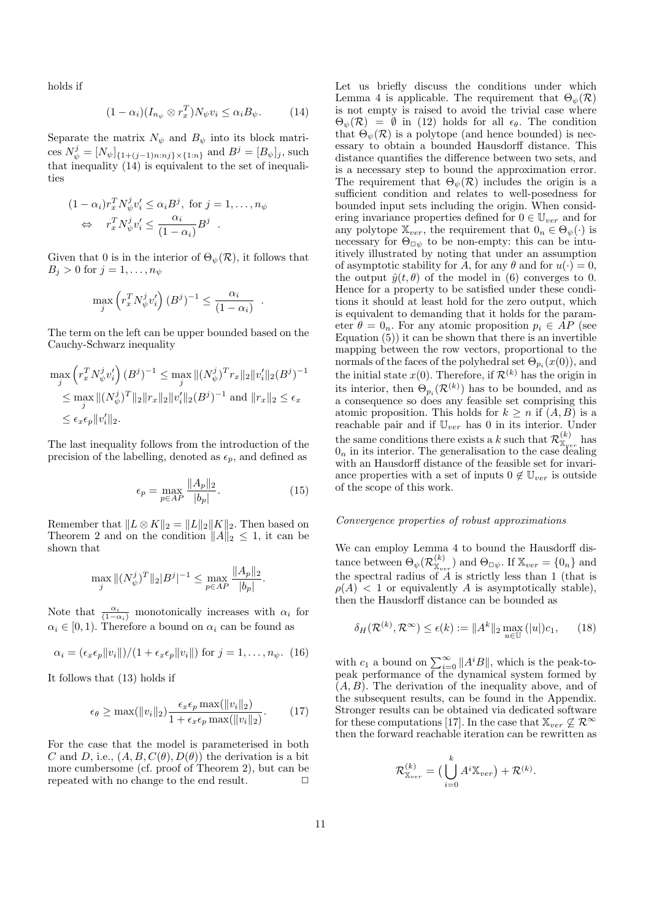holds if

$$
(1 - \alpha_i)(I_{n_{\psi}} \otimes r_x^T)N_{\psi}v_i \leq \alpha_i B_{\psi}.
$$
 (14)

Separate the matrix  $N_{\psi}$  and  $B_{\psi}$  into its block matrices  $N_{\psi}^{j} = [N_{\psi}]_{\{1 + (j-1)n : nj\} \times \{1 : n\}}$  and  $B^{j} = [B_{\psi}]_{j}$ , such that inequality  $(14)$  is equivalent to the set of inequalities

$$
(1 - \alpha_i)r_x^T N_{\psi}^j v_i' \leq \alpha_i B^j, \text{ for } j = 1, ..., n_{\psi}
$$

$$
\Leftrightarrow r_x^T N_{\psi}^j v_i' \leq \frac{\alpha_i}{(1 - \alpha_i)} B^j.
$$

Given that 0 is in the interior of  $\Theta_{\psi}(\mathcal{R})$ , it follows that  $B_j > 0$  for  $j = 1, \ldots, n_{\psi}$ 

$$
\max_{j} \left( r_x^T N_{\psi}^j v_i' \right) (B^j)^{-1} \le \frac{\alpha_i}{(1 - \alpha_i)}
$$

The term on the left can be upper bounded based on the Cauchy-Schwarz inequality

$$
\max_{j} \left( r_x^T N_{\psi}^j v_i' \right) (B^j)^{-1} \leq \max_{j} \| (N_{\psi}^j)^T r_x \|_2 \| v_i' \|_2 (B^j)^{-1}
$$
  

$$
\leq \max_{j} \| (N_{\psi}^j)^T \|_2 \| r_x \|_2 \| v_i' \|_2 (B^j)^{-1} \text{ and } \| r_x \|_2 \leq \epsilon_x
$$
  

$$
\leq \epsilon_x \epsilon_p \| v_i' \|_2.
$$

The last inequality follows from the introduction of the precision of the labelling, denoted as  $\epsilon_p$ , and defined as

$$
\epsilon_p = \max_{p \in AP} \frac{\|A_p\|_2}{|b_p|}.\tag{15}
$$

Remember that  $\|L\otimes K\|_2=\|L\|_2\|K\|_2.$  Then based on Theorem 2 and on the condition  $||A||_2 \leq 1$ , it can be shown that

$$
\max_{j} \|(N_{\psi}^{j})^{T}\|_{2}|B^{j}|^{-1} \leq \max_{p \in AP} \frac{\|A_{p}\|_{2}}{|b_{p}|}.
$$

Note that  $\frac{\alpha_i}{(1-\alpha_i)}$  monotonically increases with  $\alpha_i$  for  $\alpha_i \in [0,1)$ . Therefore a bound on  $\alpha_i$  can be found as

$$
\alpha_i = (\epsilon_x \epsilon_p ||v_i||)/(1 + \epsilon_x \epsilon_p ||v_i||) \text{ for } j = 1, ..., n_{\psi}.
$$
 (16)

It follows that  $(13)$  holds if

$$
\epsilon_{\theta} \ge \max(||v_i||_2) \frac{\epsilon_x \epsilon_p \max(||v_i||_2)}{1 + \epsilon_x \epsilon_p \max(||v_i||_2)}.
$$
 (17)

For the case that the model is parameterised in both C and D, i.e.,  $(A, B, C(\theta), D(\theta))$  the derivation is a bit more cumbersome (cf. proof of Theorem 2), but can be repeated with no change to the end result.  $\Box$ 

Let us briefly discuss the conditions under which Lemma 4 is applicable. The requirement that  $\Theta_{\psi}(\mathcal{R})$ is not empty is raised to avoid the trivial case where  $\Theta_{\psi}(\mathcal{R}) = \emptyset$  in (12) holds for all  $\epsilon_{\theta}$ . The condition that  $\Theta_{\psi}(\mathcal{R})$  is a polytope (and hence bounded) is necessary to obtain a bounded Hausdorff distance. This distance quantifies the difference between two sets, and is a necessary step to bound the approximation error. The requirement that  $\Theta_{\psi}(\mathcal{R})$  includes the origin is a sufficient condition and relates to well-posedness for bounded input sets including the origin. When considering invariance properties defined for  $0 \in \mathbb{U}_{ver}$  and for any polytope  $\mathbb{X}_{ver}$ , the requirement that  $0_n \in \Theta_{\psi}(\cdot)$  is necessary for  $\Theta_{\Box \psi}$  to be non-empty: this can be intuitively illustrated by noting that under an assumption of asymptotic stability for A, for any  $\theta$  and for  $u(\cdot) = 0$ , the output  $\hat{y}(t, \theta)$  of the model in (6) converges to 0. Hence for a property to be satisfied under these conditions it should at least hold for the zero output, which is equivalent to demanding that it holds for the parameter  $\theta = 0_n$ . For any atomic proposition  $p_i \in AP$  (see Equation  $(5)$ ) it can be shown that there is an invertible mapping between the row vectors, proportional to the normals of the faces of the polyhedral set  $\Theta_{p_i}(x(0))$ , and the initial state  $x(0)$ . Therefore, if  $\mathcal{R}^{(k)}$  has the origin in its interior, then  $\Theta_{n_i}(\mathcal{R}^{(k)})$  has to be bounded, and as a consequence so does any feasible set comprising this atomic proposition. This holds for  $k \geq n$  if  $(A, B)$  is a reachable pair and if  $\mathbb{U}_{ver}$  has 0 in its interior. Under the same conditions there exists a k such that  $\mathcal{R}_{\mathbb{X}_{per}}^{(k)}$  has  $0_n$  in its interior. The generalisation to the case dealing with an Hausdorff distance of the feasible set for invariance properties with a set of inputs  $0 \notin \mathbb{U}_{ner}$  is outside of the scope of this work.

# Convergence properties of robust approximations

We can employ Lemma 4 to bound the Hausdorff distance between  $\Theta_{\psi}(\mathcal{R}_{X_{ver}}^{(k)})$  and  $\Theta_{\Box \psi}$ . If  $X_{ver} = \{0_n\}$  and<br>the spectral radius of A is strictly less than 1 (that is  $\rho(A)$  < 1 or equivalently A is asymptotically stable), then the Hausdorff distance can be bounded as

$$
\delta_H(\mathcal{R}^{(k)}, \mathcal{R}^{\infty}) \le \epsilon(k) := \|A^k\|_2 \max_{u \in \mathbb{U}} (|u|) c_1, \qquad (18)
$$

with  $c_1$  a bound on  $\sum_{i=0}^{\infty} ||A^i B||$ , which is the peak-to-<br>peak performance of the dynamical system formed by  $(A, B)$ . The derivation of the inequality above, and of the subsequent results, can be found in the Appendix. Stronger results can be obtained via dedicated software for these computations [17]. In the case that  $\mathbb{X}_{ver} \nsubseteq \mathcal{R}^{\infty}$ then the forward reachable iteration can be rewritten as

$$
\mathcal{R}^{(k)}_{\mathbb{X}_{ver}} = \big(\bigcup_{i=0}^{k} A^i \mathbb{X}_{ver}\big) + \mathcal{R}^{(k)}.
$$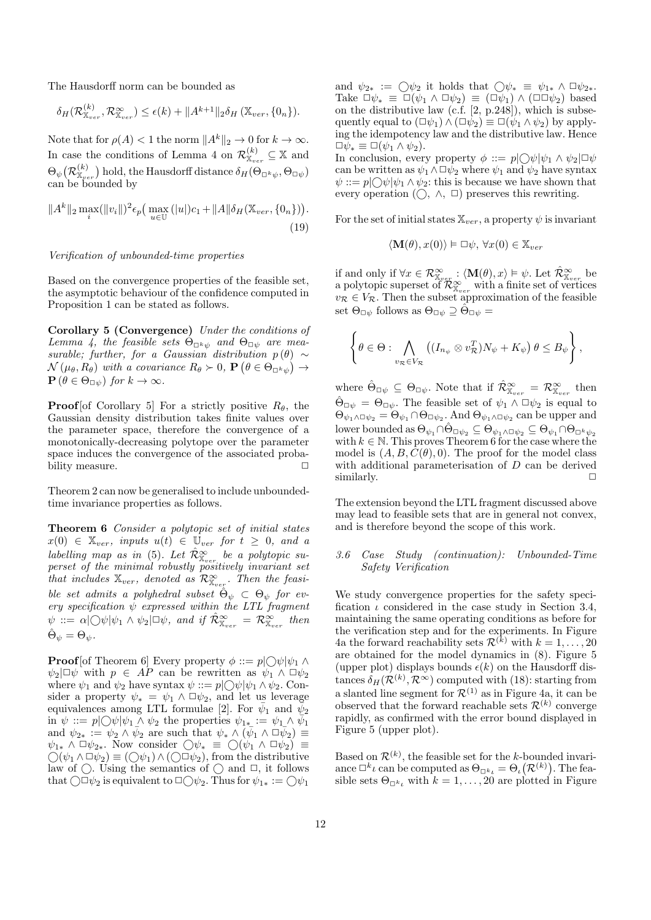The Hausdorff norm can be bounded as

$$
\delta_H(\mathcal{R}_{\mathbb{X}_{ver}}^{(k)}, \mathcal{R}_{\mathbb{X}_{ver}}^{\infty}) \leq \epsilon(k) + ||A^{k+1}||_2 \delta_H(\mathbb{X}_{ver}, \{0_n\}).
$$

Note that for  $\rho(A) < 1$  the norm  $||A^k||_2 \to 0$  for  $k \to \infty$ . In case the conditions of Lemma 4 on  $\mathcal{R}_{X_{ver}}^{(k)} \subseteq X$  and  $\Theta_{\psi}(\mathcal{R}_{\mathbb{X}_{ver}}^{(k)})$  hold, the Hausdorff distance  $\delta_H(\Theta_{\Box^k\psi},\Theta_{\Box\psi})$ <br>can be bounded by

$$
||A^{k}||_{2} \max_{i} (||v_{i}||)^{2} \epsilon_{p} \Big( \max_{u \in \mathbb{U}} (|u|)c_{1} + ||A|| \delta_{H}(\mathbb{X}_{ver}, \{0_{n}\}) \Big).
$$
\n(19)

Verification of unbounded-time properties

Based on the convergence properties of the feasible set, the asymptotic behaviour of the confidence computed in Proposition 1 can be stated as follows.

**Corollary 5 (Convergence)** Under the conditions of Lemma 4, the feasible sets  $\Theta_{\Box k_2}$  and  $\Theta_{\Box \psi}$  are measurable; further, for a Gaussian distribution  $p(\theta) \sim$  $\mathcal{N}(\mu_{\theta}, R_{\theta})$  with a covariance  $R_{\theta} \succ 0$ ,  $\mathbf{P}(\theta \in \Theta_{\Box^k \psi}) \rightarrow$  $\mathbf{P}(\theta \in \Theta_{\Box \psi})$  for  $k \to \infty$ .

**Proof** [of Corollary 5] For a strictly positive  $R_{\theta}$ , the Gaussian density distribution takes finite values over the parameter space, therefore the convergence of a monotonically-decreasing polytope over the parameter space induces the convergence of the associated probability measure.  $\Box$ 

Theorem 2 can now be generalised to include unboundedtime invariance properties as follows.

Theorem 6 Consider a polytopic set of initial states  $x(0) \in \mathbb{X}_{ver}$ , inputs  $u(t) \in \mathbb{U}_{ver}$  for  $t \geq 0$ , and a labelling map as in (5). Let  $\hat{\mathcal{R}}^{\infty}_{\mathbb{X}_{ver}}$  be a polytopic superset of the minimal robustly positively invariant set that includes  $\mathbb{X}_{ver}$ , denoted as  $\mathcal{R}_{\mathbb{X}_{ver}}^{\infty}$ . Then the feasible set admits a polyhedral subset  $\hat{\Theta}_{\psi} \subset \Theta_{\psi}$  for every specification  $\psi$  expressed within the LTL fragment  $\psi ::= \alpha \vert \bigcirc \psi \vert \psi_1 \wedge \psi_2 \vert \Box \psi$ , and if  $\mathcal{R}_{\mathbb{X}_{\text{user}}}^{\infty} = \mathcal{R}_{\mathbb{X}_{\text{user}}}^{\infty}$  then  $\ddot{\Theta}_{\psi} = \Theta_{\psi}.$ 

**Proof** [of Theorem 6] Every property  $\phi ::= p \bigcirc \bigcirc \psi | \psi_1 \wedge \psi_2$  $\psi_2|\Box\psi$  with  $p \in \overline{AP}$  can be rewritten as  $\psi_1 \wedge \Box \psi_2$ where  $\psi_1$  and  $\psi_2$  have syntax  $\psi ::= p \bigcirc \bigcirc \psi \bigcirc \psi_1 \wedge \psi_2$ . Consider a property  $\psi_* = \psi_1 \wedge \Box \psi_2$ , and let us leverage equivalences among LTL formulae [2]. For  $\bar{\psi}_1$  and  $\bar{\psi}_2$ in  $\psi ::= p \bigcup \psi | \psi_1 \wedge \psi_2$  the properties  $\psi_{1*} := \psi_1 \wedge \psi_1$ and  $\psi_{2*} := \psi_2 \wedge \bar{\psi}_2$  are such that  $\psi_* \wedge (\bar{\psi}_1 \wedge \Box \bar{\psi}_2) \equiv$  $\psi_{1*} \wedge \Box \psi_{2*}$ . Now consider  $\bigcirc \psi_* \equiv \bigcirc (\psi_1 \wedge \Box \psi_2) \equiv$  $\bigcirc(\psi_1 \wedge \Box \psi_2) \equiv (\bigcirc \psi_1) \wedge (\bigcirc \Box \psi_2)$ , from the distributive law of  $\bigcirc$ . Using the semantics of  $\bigcirc$  and  $\Box$ , it follows that  $\bigcirc \Box \psi_2$  is equivalent to  $\Box \bigcirc \psi_2$ . Thus for  $\psi_{1*} := \bigcirc \psi_1$ 

and  $\psi_{2*} := \bigcirc \psi_2$  it holds that  $\bigcirc \psi_* \equiv \psi_{1*} \wedge \Box \psi_{2*}.$ Take  $\Box \psi_* \equiv \Box(\psi_1 \land \Box \psi_2) \equiv (\Box \psi_1) \land (\Box \Box \psi_2)$  based on the distributive law (c.f. [2, p.248]), which is subsequently equal to  $(\Box \psi_1) \wedge (\Box \psi_2) \equiv \Box (\psi_1 \wedge \psi_2)$  by applying the idempotency law and the distributive law. Hence  $\Box \psi_* \equiv \Box (\psi_1 \wedge \psi_2).$ 

In conclusion, every property  $\phi ::= p \bigcup \psi | \psi_1 \wedge \psi_2 | \Box \psi$ can be written as  $\psi_1 \wedge \Box \psi_2$  where  $\psi_1$  and  $\psi_2$  have syntax  $\psi ::= p \bigcirc \bigcirc \psi \bigcirc \psi_1 \wedge \psi_2$ : this is because we have shown that every operation  $(\bigcirc, \wedge, \Box)$  preserves this rewriting.

For the set of initial states  $\mathbb{X}_{ver}$ , a property  $\psi$  is invariant

$$
\langle \mathbf{M}(\theta), x(0) \rangle \vDash \Box \psi, \forall x(0) \in \mathbb{X}_{ver}
$$

if and only if  $\forall x \in \mathcal{R}_{\mathbb{X}_{ver}}^{\infty} : \langle \mathbf{M}(\theta), x \rangle \models \psi$ . Let  $\hat{\mathcal{R}}_{\mathbb{X}_{ver}}^{\infty}$  be a polytopic superset of  $\hat{\mathcal{R}}_{\mathbb{X}_{ver}}^{\infty}$  with a finite set of vertices  $v_{\mathcal{R}} \in V_{\mathcal{R}}$ . Then the subset approximation of the feasible set  $\Theta_{\Box\psi}$  follows as  $\Theta_{\Box\psi}\supseteq \hat{\Theta}_{\Box\psi}$ 

$$
\left\{\theta\in\Theta:\bigwedge_{v_{\mathcal{R}}\in V_{\mathcal{R}}} \left((I_{n_{\psi}}\otimes v_{\mathcal{R}}^T)N_{\psi}+K_{\psi}\right)\theta\leq B_{\psi}\right\},\right
$$

where  $\hat{\Theta}_{\Box \psi} \subseteq \Theta_{\Box \psi}$ . Note that if  $\hat{\mathcal{R}}^{\infty}_{X_{ver}} = \mathcal{R}^{\infty}_{X_{ver}}$  then  $\hat{\Theta}_{\Box \psi} = \Theta_{\Box \psi}$ . The feasible set of  $\psi_1 \wedge \Box \psi_2$  is equal to  $\Theta_{\psi_1 \wedge \Box \psi_2} = \Theta_{\psi_1} \cap \Theta_{\Box \psi_2}$ . And  $\Theta_{\psi_1 \wedge \Box \psi_2}$  can be upper and lower bounded as  $\Theta_{\psi_1} \cap \hat{\Theta}_{\Box \psi_2} \subseteq \Theta_{\psi_1 \land \Box \psi_2} \subseteq \Theta_{\psi_1} \cap \Theta_{\Box^k \psi_2}$ with  $k \in \mathbb{N}$ . This proves Theorem 6 for the case where the model is  $(A, B, C(\theta), 0)$ . The proof for the model class with additional parameterisation of  $D$  can be derived similarly.  $\Box$ 

The extension beyond the LTL fragment discussed above may lead to feasible sets that are in general not convex, and is therefore beyond the scope of this work.

# 3.6 Case Study (continuation): Unbounded-Time Safety Verification

We study convergence properties for the safety specification  $\iota$  considered in the case study in Section 3.4, maintaining the same operating conditions as before for the verification step and for the experiments. In Figure 4a the forward reachability sets  $\mathcal{R}^{(k)}$  with  $k = 1, ..., 20$ are obtained for the model dynamics in  $(8)$ . Figure 5 (upper plot) displays bounds  $\epsilon(k)$  on the Hausdorff distances  $\delta_H(\mathcal{R}^{(k)}, \mathcal{R}^{\infty})$  computed with (18): starting from a slanted line segment for  $\mathcal{R}^{(1)}$  as in Figure 4a, it can be observed that the forward reachable sets  $\mathcal{R}^{(k)}$  converge rapidly, as confirmed with the error bound displayed in Figure 5 (upper plot).

Based on  $\mathcal{R}^{(k)}$ , the feasible set for the k-bounded invariance  $\Box^k \iota$  can be computed as  $\Theta_{\Box^k \iota} = \Theta_{\iota}(\mathcal{R}^{(k)})$ . The feasible sets  $\Theta_{\Box^k}$  with  $k = 1, \ldots, 20$  are plotted in Figure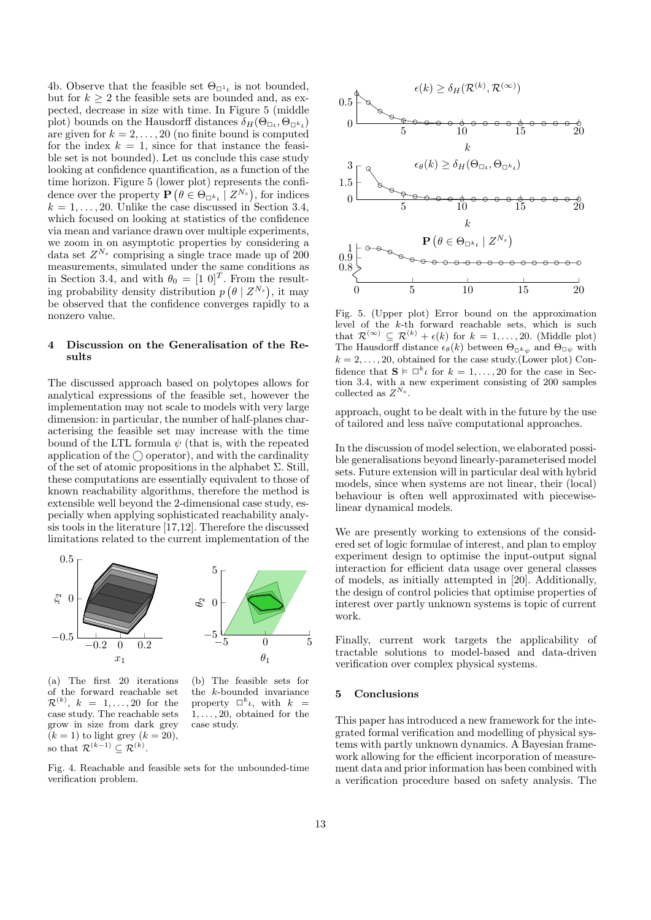4b. Observe that the feasible set  $\Theta_{\Box^1}$  is not bounded, but for  $k > 2$  the feasible sets are bounded and, as expected, decrease in size with time. In Figure 5 (middle plot) bounds on the Hausdorff distances  $\delta_H(\Theta_{\Box t}, \Theta_{\Box^k t})$ are given for  $k = 2, \ldots, 20$  (no finite bound is computed for the index  $k = 1$ , since for that instance the feasible set is not bounded). Let us conclude this case study looking at confidence quantification, as a function of the time horizon. Figure 5 (lower plot) represents the confidence over the property  $\mathbf{P}(\theta \in \Theta_{\Box^k \iota} | Z^{N_s})$ , for indices  $k = 1, \ldots, 20$ . Unlike the case discussed in Section 3.4, which focused on looking at statistics of the confidence via mean and variance drawn over multiple experiments, we zoom in on asymptotic properties by considering a data set  $Z^{N_s}$  comprising a single trace made up of 200 measurements, simulated under the same conditions as in Section 3.4, and with  $\theta_0 = [1 \ 0]^T$ . From the resulting probability density distribution  $p(\theta | Z^{N_s})$ , it may be observed that the confidence converges rapidly to a nonzero value.

### Discussion on the Generalisation of the Re- $\overline{\mathbf{4}}$ sults

The discussed approach based on polytopes allows for analytical expressions of the feasible set, however the implementation may not scale to models with very large dimension: in particular, the number of half-planes characterising the feasible set may increase with the time bound of the LTL formula  $\psi$  (that is, with the repeated application of the  $\bigcirc$  operator), and with the cardinality of the set of atomic propositions in the alphabet  $\Sigma$ . Still, these computations are essentially equivalent to those of known reachability algorithms, therefore the method is extensible well beyond the 2-dimensional case study, especially when applying sophisticated reachability analysis tools in the literature  $[17,12]$ . Therefore the discussed limitations related to the current implementation of the



 $(a)$  The first 20 iterations of the forward reachable set  $\mathcal{R}^{(k)}$ ,  $k = 1, \ldots, 20$  for the case study. The reachable sets grow in size from dark grey  $(k = 1)$  to light grey  $(k = 20)$ , so that  $\mathcal{R}^{(k-1)} \subset \mathcal{R}^{(k)}$ .



Fig. 4. Reachable and feasible sets for the unbounded-time verification problem.



Fig. 5. (Upper plot) Error bound on the approximation level of the  $k$ -th forward reachable sets, which is such that  $\mathcal{R}^{(\infty)} \subseteq \mathcal{R}^{(k)} + \epsilon(k)$  for  $k = 1, ..., 20$ . (Middle plot) The Hausdorff distance  $\epsilon_{\theta}(k)$  between  $\Theta_{\Box^k \psi}$  and  $\Theta_{\Box \psi}$  with  $k = 2, \ldots, 20$ , obtained for the case study. (Lower plot) Confidence that  $S \models \Box^k \iota$  for  $k = 1, ..., 20$  for the case in Section 3.4, with a new experiment consisting of 200 samples collected as  $\mathbb{Z}^{N_s}.$ 

approach, ought to be dealt with in the future by the use of tailored and less naïve computational approaches.

In the discussion of model selection, we elaborated possible generalisations beyond linearly-parameterised model sets. Future extension will in particular deal with hybrid models, since when systems are not linear, their (local) behaviour is often well approximated with piecewiselinear dynamical models.

We are presently working to extensions of the considered set of logic formulae of interest, and plan to employ experiment design to optimise the input-output signal interaction for efficient data usage over general classes of models, as initially attempted in [20]. Additionally, the design of control policies that optimise properties of interest over partly unknown systems is topic of current work.

Finally, current work targets the applicability of tractable solutions to model-based and data-driven verification over complex physical systems.

#### $5\overline{a}$ Conclusions

This paper has introduced a new framework for the integrated formal verification and modelling of physical systems with partly unknown dynamics. A Bayesian framework allowing for the efficient incorporation of measurement data and prior information has been combined with a verification procedure based on safety analysis. The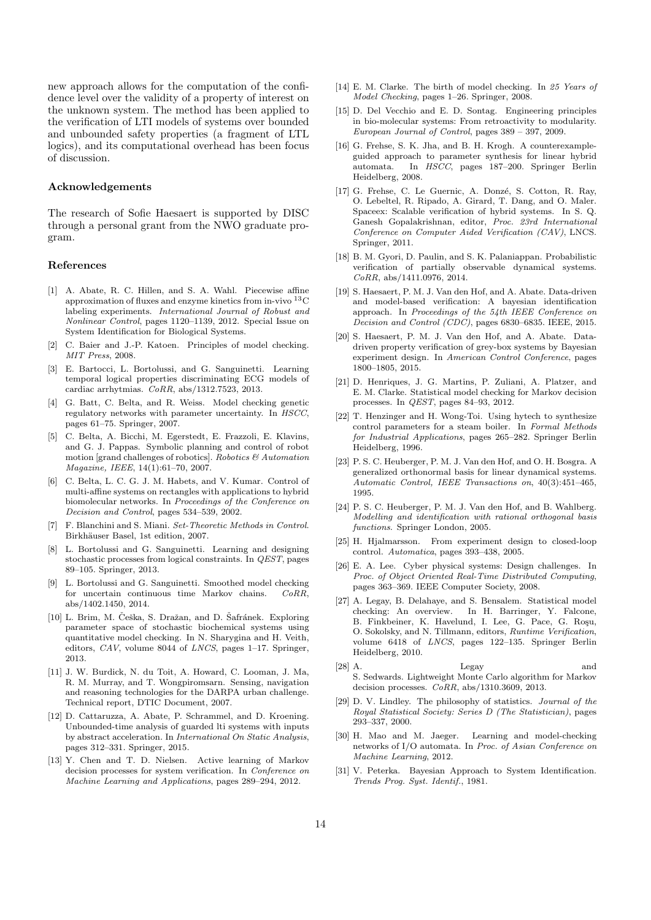new approach allows for the computation of the confidence level over the validity of a property of interest on the unknown system. The method has been applied to the verification of LTI models of systems over bounded and unbounded safety properties (a fragment of LTL logics), and its computational overhead has been focus of discussion.

# Acknowledgements

The research of Sofie Haesaert is supported by DISC through a personal grant from the NWO graduate program.

### References

- [1] A. Abate, R. C. Hillen, and S. A. Wahl. Piecewise affine approximation of fluxes and enzyme kinetics from in-vivo  ${}^{13}$ C labeling experiments. International Journal of Robust and Nonlinear Control, pages 1120-1139, 2012. Special Issue on System Identification for Biological Systems.
- [2] C. Baier and J.-P. Katoen. Principles of model checking. MIT Press, 2008.
- E. Bartocci, L. Bortolussi, and G. Sanguinetti. Learning  $\lceil 3 \rceil$ temporal logical properties discriminating ECG models of cardiac arrhytmias.  $CoRR$ , abs/1312.7523, 2013.
- G. Batt, C. Belta, and R. Weiss. Model checking genetic  $\lceil 4 \rceil$ regulatory networks with parameter uncertainty. In HSCC, pages 61-75. Springer, 2007.
- C. Belta, A. Bicchi, M. Egerstedt, E. Frazzoli, E. Klavins,  $\lceil 5 \rceil$ and G. J. Pappas. Symbolic planning and control of robot motion [grand challenges of robotics]. Robotics  $\&$  Automation Magazine, IEEE, 14(1):61-70, 2007.
- $\lceil 6 \rceil$ C. Belta, L. C. G. J. M. Habets, and V. Kumar. Control of multi-affine systems on rectangles with applications to hybrid biomolecular networks. In Proceedings of the Conference on Decision and Control, pages 534-539, 2002.
- F. Blanchini and S. Miani. Set-Theoretic Methods in Control.  $\lceil 7 \rceil$ Birkhäuser Basel, 1st edition, 2007.
- [8] L. Bortolussi and G. Sanguinetti. Learning and designing stochastic processes from logical constraints. In *QEST*, pages 89-105. Springer, 2013.
- L. Bortolussi and G. Sanguinetti. Smoothed model checking  $\lceil 9 \rceil$ for uncertain continuous time Markov chains.  $CoRR$ . abs/1402.1450, 2014.
- [10] L. Brim, M. Češka, S. Dražan, and D. Šafránek. Exploring parameter space of stochastic biochemical systems using quantitative model checking. In N. Sharygina and H. Veith, editors,  $CAV$ , volume 8044 of  $LNCS$ , pages 1-17. Springer, 2013.
- [11] J. W. Burdick, N. du Toit, A. Howard, C. Looman, J. Ma, R. M. Murray, and T. Wongpiromsarn. Sensing, navigation and reasoning technologies for the DARPA urban challenge. Technical report, DTIC Document, 2007.
- [12] D. Cattaruzza, A. Abate, P. Schrammel, and D. Kroening. Unbounded-time analysis of guarded lti systems with inputs by abstract acceleration. In International On Static Analysis, pages 312-331. Springer, 2015.
- [13] Y. Chen and T. D. Nielsen. Active learning of Markov decision processes for system verification. In Conference on Machine Learning and Applications, pages 289-294, 2012.
- [14] E. M. Clarke. The birth of model checking. In 25 Years of Model Checking, pages 1-26. Springer, 2008.
- [15] D. Del Vecchio and E. D. Sontag. Engineering principles in bio-molecular systems: From retroactivity to modularity. European Journal of Control, pages 389 – 397, 2009.
- [16] G. Frehse, S. K. Jha, and B. H. Krogh. A counterexampleguided approach to parameter synthesis for linear hybrid automata In HSCC, pages 187-200. Springer Berlin Heidelberg, 2008.
- [17] G. Frehse, C. Le Guernic, A. Donzé, S. Cotton, R. Ray, O. Lebeltel, R. Ripado, A. Girard, T. Dang, and O. Maler. Spaceex: Scalable verification of hybrid systems. In S. Q. Ganesh Gopalakrishnan, editor, Proc. 23rd International Conference on Computer Aided Verification (CAV), LNCS. Springer, 2011.
- [18] B. M. Gyori, D. Paulin, and S. K. Palaniappan. Probabilistic verification of partially observable dynamical systems.  $CoRR$ , abs/1411.0976, 2014.
- [19] S. Haesaert, P. M. J. Van den Hof, and A. Abate. Data-driven and model-based verification: A bayesian identification approach. In Proceedings of the 54th IEEE Conference on Decision and Control (CDC), pages 6830-6835. IEEE, 2015.
- [20] S. Haesaert, P. M. J. Van den Hof, and A. Abate. Datadriven property verification of grey-box systems by Bayesian experiment design. In American Control Conference, pages 1800-1805 2015
- [21] D. Henriques, J. G. Martins, P. Zuliani, A. Platzer, and E. M. Clarke. Statistical model checking for Markov decision processes. In *QEST*, pages  $84-93$ , 2012.
- [22] T. Henzinger and H. Wong-Toi. Using hytech to synthesize control parameters for a steam boiler. In Formal Methods for Industrial Applications, pages 265–282. Springer Berlin Heidelberg, 1996.
- [23] P. S. C. Heuberger, P. M. J. Van den Hof, and O. H. Bosgra. A generalized orthonormal basis for linear dynamical systems. Automatic Control, IEEE Transactions on, 40(3):451-465, 1995.
- [24] P. S. C. Heuberger, P. M. J. Van den Hof, and B. Wahlberg. Modelling and identification with rational orthogonal basis functions. Springer London, 2005.
- [25] H. Hjalmarsson. From experiment design to closed-loop control. Automatica, pages 393-438, 2005.
- [26] E. A. Lee. Cyber physical systems: Design challenges. In Proc. of Object Oriented Real-Time Distributed Computing, pages 363-369. IEEE Computer Society, 2008.
- [27] A. Legay, B. Delahaye, and S. Bensalem. Statistical model checking: An overview. In H. Barringer, Y. Falcone, B. Finkbeiner, K. Havelund, I. Lee, G. Pace, G. Roşu, O. Sokolsky, and N. Tillmann, editors, Runtime Verification, volume 6418 of LNCS, pages 122-135. Springer Berlin Heidelberg, 2010.
- $[28]$  A. and Legay S. Sedwards. Lightweight Monte Carlo algorithm for Markov decision processes.  $CoRR$ , abs/1310.3609, 2013.
- [29] D. V. Lindley. The philosophy of statistics. Journal of the Royal Statistical Society: Series D (The Statistician), pages 293-337, 2000.
- [30] H. Mao and M. Jaeger. Learning and model-checking networks of I/O automata. In  $\operatorname{\it Proc.}$  of Asian Conference on Machine Learning, 2012.
- [31] V. Peterka. Bayesian Approach to System Identification. Trends Prog. Syst. Identif., 1981.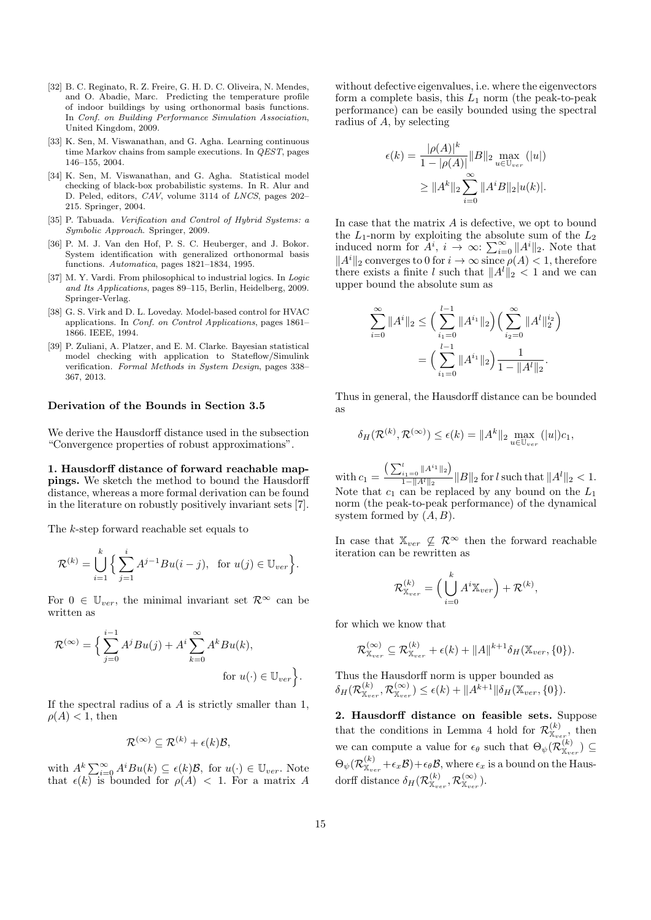- [32] B. C. Reginato, R. Z. Freire, G. H. D. C. Oliveira, N. Mendes, and O. Abadie, Marc. Predicting the temperature profile of indoor buildings by using orthonormal basis functions. In Conf. on Building Performance Simulation Association, United Kingdom, 2009.
- [33] K. Sen, M. Viswanathan, and G. Agha. Learning continuous time Markov chains from sample executions. In *QEST*, pages 146-155, 2004.
- [34] K. Sen, M. Viswanathan, and G. Agha. Statistical model checking of black-box probabilistic systems. In R. Alur and D. Peled, editors, CAV, volume 3114 of LNCS, pages 202-215. Springer, 2004.
- [35] P. Tabuada. Verification and Control of Hybrid Systems: a Symbolic Approach. Springer, 2009.
- [36] P. M. J. Van den Hof, P. S. C. Heuberger, and J. Bokor. System identification with generalized orthonormal basis functions. Automatica, pages 1821-1834, 1995.
- [37] M. Y. Vardi. From philosophical to industrial logics. In Logic and Its Applications, pages 89-115, Berlin, Heidelberg, 2009. Springer-Verlag.
- [38] G. S. Virk and D. L. Loveday. Model-based control for HVAC applications. In Conf. on Control Applications, pages 1861– 1866. IEEE, 1994.
- [39] P. Zuliani, A. Platzer, and E. M. Clarke. Bayesian statistical model checking with application to Stateflow/Simulink verification. Formal Methods in System Design, pages 338-367, 2013.

# Derivation of the Bounds in Section 3.5

We derive the Hausdorff distance used in the subsection "Convergence properties of robust approximations".

1. Hausdorff distance of forward reachable mappings. We sketch the method to bound the Hausdorff distance, whereas a more formal derivation can be found in the literature on robustly positively invariant sets [7].

The  $k$ -step forward reachable set equals to

$$
\mathcal{R}^{(k)} = \bigcup_{i=1}^{k} \Big\{ \sum_{j=1}^{i} A^{j-1}Bu(i-j), \text{ for } u(j) \in \mathbb{U}_{ver} \Big\}.
$$

For  $0 \in \mathbb{U}_{ver}$ , the minimal invariant set  $\mathcal{R}^{\infty}$  can be written as

$$
\mathcal{R}^{(\infty)} = \Big\{ \sum_{j=0}^{i-1} A^j B u(j) + A^i \sum_{k=0}^{\infty} A^k B u(k),
$$
  
for  $u(\cdot) \in \mathbb{U}_{ver} \Big\}.$ 

If the spectral radius of a  $A$  is strictly smaller than 1,  $\rho(A) < 1$ , then

$$
\mathcal{R}^{(\infty)} \subseteq \mathcal{R}^{(k)} + \epsilon(k)\mathcal{B},
$$

with  $A^k \sum_{i=0}^{\infty} A^i B u(k) \subseteq \epsilon(k) \mathcal{B}$ , for  $u(\cdot) \in \mathbb{U}_{ver}$ . Note<br>that  $\epsilon(k)$  is bounded for  $\rho(A) < 1$ . For a matrix A

without defective eigenvalues, i.e. where the eigenvectors form a complete basis, this  $L_1$  norm (the peak-to-peak performance) can be easily bounded using the spectral radius of  $A$ , by selecting

$$
\epsilon(k) = \frac{|\rho(A)|^k}{1 - |\rho(A)|} \|B\|_2 \max_{u \in \mathbb{U}_{ver}} (|u|)
$$
  
 
$$
\geq \|A^k\|_2 \sum_{i=0}^{\infty} \|A^i B\|_2 |u(k)|.
$$

In case that the matrix  $A$  is defective, we opt to bound the  $L_1$ -norm by exploiting the absolute sum of the  $L_2$ induced norm for  $A^i$ ,  $i \to \infty$ :  $\sum_{i=0}^{\infty} ||A^i||_2$ . Note that<br> $||A^i||_2$  converges to 0 for  $i \to \infty$  since  $\rho(A) < 1$ , therefore there exists a finite l such that  $||A^l||_2 < 1$  and we can upper bound the absolute sum as

$$
\sum_{i=0}^{\infty} \|A^i\|_2 \le \Big(\sum_{i_1=0}^{l-1} \|A^{i_1}\|_2\Big) \Big(\sum_{i_2=0}^{\infty} \|A^l\|_2^{i_2}\Big)
$$

$$
= \Big(\sum_{i_1=0}^{l-1} \|A^{i_1}\|_2\Big) \frac{1}{1 - \|A^l\|_2}.
$$

Thus in general, the Hausdorff distance can be bounded  $2S$ 

$$
\delta_H(\mathcal{R}^{(k)}, \mathcal{R}^{(\infty)}) \le \epsilon(k) = \|A^k\|_2 \max_{u \in \mathbb{U}_{ver}} (|u|) c_1,
$$

 $\label{eq:2} \begin{array}{l} \text{with}\, c_1 = \frac{\left(\sum_{i_1=0}^l \|A^{i_1}\|_2\right)}{1-\|A^l\|_2}\|B\|_2 \, \text{for}\, l \, \text{such that}\, \|A^l\|_2 < 1.\\ \text{Note that}\ \, c_1 \ \, \text{can be replaced by any bound on the}\,\, L_1 \end{array}$ norm (the peak-to-peak performance) of the dynamical system formed by  $(A, B)$ .

In case that  $\mathbb{X}_{ver} \nsubseteq \mathcal{R}^{\infty}$  then the forward reachable iteration can be rewritten as

$$
\mathcal{R}^{(k)}_{\mathbb{X}_{ver}} = \Big ( \bigcup_{i=0}^{k} A^i \mathbb{X}_{ver} \Big ) + \mathcal{R}^{(k)}
$$

for which we know that

$$
\mathcal{R}^{(\infty)}_{\mathbb{X}_{ver}} \subseteq \mathcal{R}^{(k)}_{\mathbb{X}_{ver}} + \epsilon(k) + ||A||^{k+1} \delta_H(\mathbb{X}_{ver}, \{0\}).
$$

Thus the Hausdorff norm is upper bounded as  $\delta_H(\mathcal{R}_{\mathbb{X}_{ver}}^{(k)},\mathcal{R}_{\mathbb{X}_{ver}}^{(\infty)}) \leq \epsilon(k) + ||A^{k+1}||\delta_H(\mathbb{X}_{ver},\{0\}).$ 

2. Hausdorff distance on feasible sets. Suppose that the conditions in Lemma 4 hold for  $\mathcal{R}_{\mathbb{X}_{ver}}^{(k)}$ , then<br>we can compute a value for  $\epsilon_{\theta}$  such that  $\Theta_{\psi}(\mathcal{R}_{\mathbb{X}_{ver}}^{(k)}) \subseteq$  $\Theta_{\psi}(\mathcal{R}_{\mathbb{X}_{ver}}^{(k)}+\epsilon_{x}\mathcal{B})+\epsilon_{\theta}\mathcal{B}$ , where  $\epsilon_{x}$  is a bound on the Hausdorff distance  $\delta_H(\mathcal{R}_{\mathbb{X}_{ner}}^{(k)}, \mathcal{R}_{\mathbb{X}_{ner}}^{(\infty)})$ .